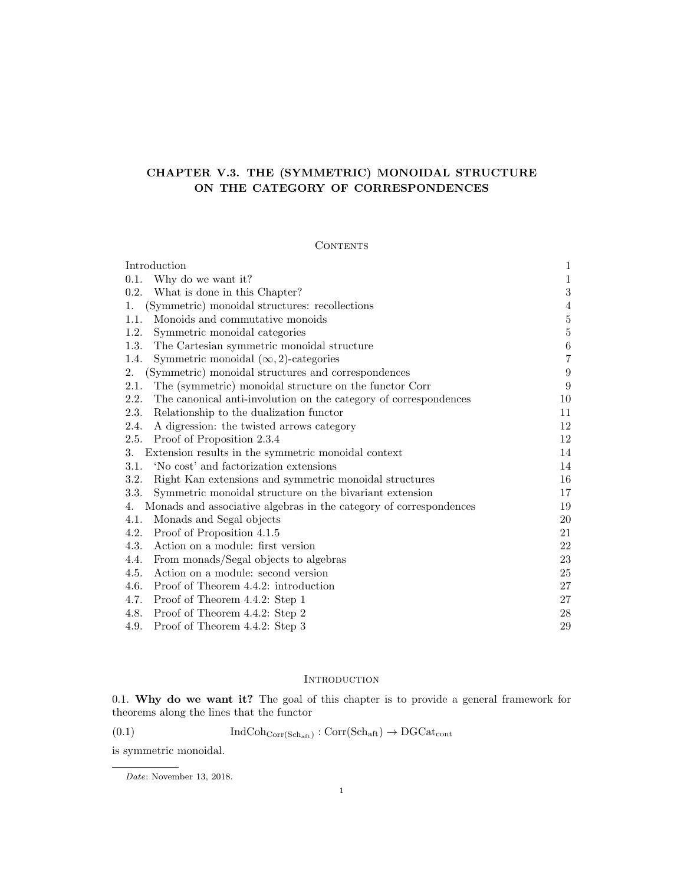# CHAPTER V.3. THE (SYMMETRIC) MONOIDAL STRUCTURE ON THE CATEGORY OF CORRESPONDENCES

# **CONTENTS**

| Introduction                                                             | $\mathbf{1}$     |
|--------------------------------------------------------------------------|------------------|
| Why do we want it?<br>0.1.                                               | $\,1$            |
| What is done in this Chapter?<br>0.2.                                    | $\sqrt{3}$       |
| (Symmetric) monoidal structures: recollections<br>1.                     | 4                |
| Monoids and commutative monoids<br>1.1.                                  | $\bf 5$          |
| 1.2.<br>Symmetric monoidal categories                                    | $\bf 5$          |
| The Cartesian symmetric monoidal structure<br>1.3.                       | $\,6\,$          |
| Symmetric monoidal $(\infty, 2)$ -categories<br>1.4.                     | $\,7$            |
| (Symmetric) monoidal structures and correspondences<br>2.                | $\boldsymbol{9}$ |
| The (symmetric) monoidal structure on the functor Corr<br>2.1.           | 9                |
| 2.2.<br>The canonical anti-involution on the category of correspondences | 10               |
| Relationship to the dualization functor<br>2.3.                          | 11               |
| A digression: the twisted arrows category<br>2.4.                        | 12               |
| 2.5.<br>Proof of Proposition 2.3.4                                       | 12               |
| 3.<br>Extension results in the symmetric monoidal context                | 14               |
| 'No cost' and factorization extensions<br>3.1.                           | 14               |
| Right Kan extensions and symmetric monoidal structures<br>3.2.           | 16               |
| 3.3.<br>Symmetric monoidal structure on the bivariant extension          | 17               |
| Monads and associative algebras in the category of correspondences<br>4. | 19               |
| Monads and Segal objects<br>4.1.                                         | 20               |
| Proof of Proposition 4.1.5<br>4.2.                                       | 21               |
| 4.3.<br>Action on a module: first version                                | 22               |
| From monads/Segal objects to algebras<br>4.4.                            | 23               |
| Action on a module: second version<br>4.5.                               | 25               |
| Proof of Theorem 4.4.2: introduction<br>4.6.                             | 27               |
| Proof of Theorem 4.4.2: Step 1<br>4.7.                                   | 27               |
| Proof of Theorem 4.4.2: Step 2<br>4.8.                                   | 28               |
| Proof of Theorem 4.4.2: Step 3<br>4.9.                                   | 29               |

# INTRODUCTION

0.1. Why do we want it? The goal of this chapter is to provide a general framework for theorems along the lines that the functor

(0.1) 
$$
\operatorname{IndCoh}_{\operatorname{Corr}(\operatorname{Sch}_{\operatorname{aft}})}: \operatorname{Corr}(\operatorname{Sch}_{\operatorname{aft}}) \to \operatorname{DGCat}_{\operatorname{cont}}
$$

is symmetric monoidal.

Date: November 13, 2018.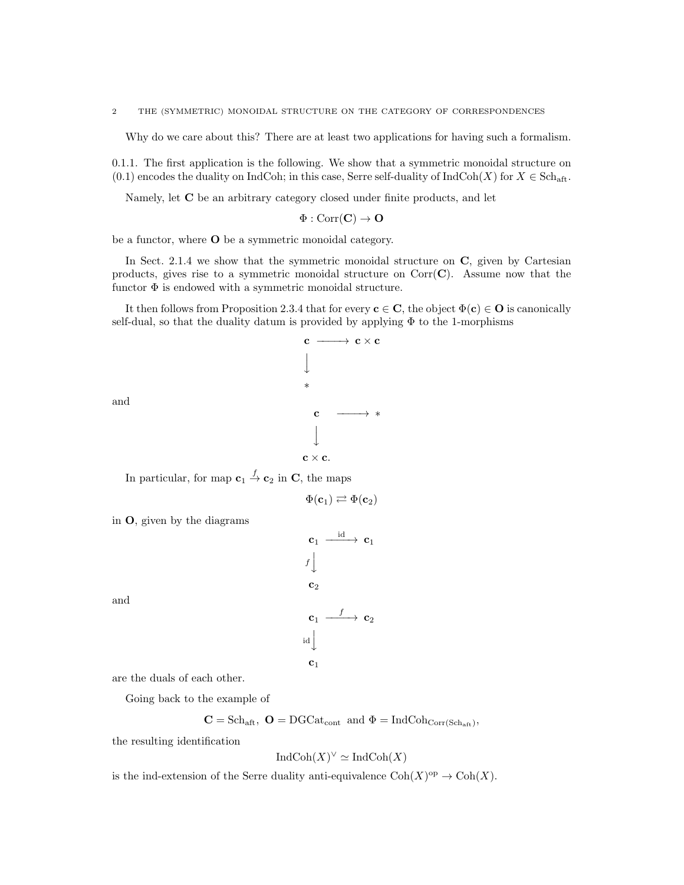Why do we care about this? There are at least two applications for having such a formalism.

0.1.1. The first application is the following. We show that a symmetric monoidal structure on (0.1) encodes the duality on IndCoh; in this case, Serre self-duality of IndCoh(X) for  $X \in \text{Sch}_{\text{aff}}$ .

Namely, let C be an arbitrary category closed under finite products, and let

$$
\Phi : \mathrm{Corr}(\mathbf{C}) \to \mathbf{O}
$$

be a functor, where O be a symmetric monoidal category.

In Sect. 2.1.4 we show that the symmetric monoidal structure on  $C$ , given by Cartesian products, gives rise to a symmetric monoidal structure on  $Corr(\mathbf{C})$ . Assume now that the functor  $\Phi$  is endowed with a symmetric monoidal structure.

It then follows from Proposition 2.3.4 that for every  $c \in C$ , the object  $\Phi(c) \in O$  is canonically self-dual, so that the duality datum is provided by applying  $\Phi$  to the 1-morphisms

$$
\begin{array}{ccc}\n\mathbf{c} & \longrightarrow & \mathbf{c} \times \mathbf{c} \\
\downarrow & & \\
& \ast & \\
& & \\
& \ast & \\
& & \\
& & \\
& & \\
\downarrow & & \\
\mathbf{c} \times \mathbf{c}.\n\end{array}
$$

and

In particular, for map  $\mathbf{c}_1 \stackrel{f}{\to} \mathbf{c}_2$  in C, the maps

$$
\Phi(\mathbf{c}_1) \rightleftarrows \Phi(\mathbf{c}_2)
$$

in O, given by the diagrams

$$
\begin{array}{ccc}\n\mathbf{c}_1 & \xrightarrow{\text{id}} & \mathbf{c}_1 \\
f & & \\
\mathbf{c}_2 & & \\
\mathbf{c}_1 & \xrightarrow{f} & \mathbf{c}_2 \\
\text{id} & & \\
\mathbf{c}_1 & & \\
\end{array}
$$

and

are the duals of each other.

Going back to the example of

$$
\mathbf{C} = \text{Sch}_{\text{aft}}, \; \mathbf{O} = \text{DGCat}_{\text{cont}} \; \text{and} \; \Phi = \text{IndCoh}_{\text{Corr}(\text{Sch}_{\text{aft}})},
$$

the resulting identification

$$
IndCoh(X)^{\vee} \simeq IndCoh(X)
$$

is the ind-extension of the Serre duality anti-equivalence  $Coh(X)^\text{op} \to \text{Coh}(X)$ .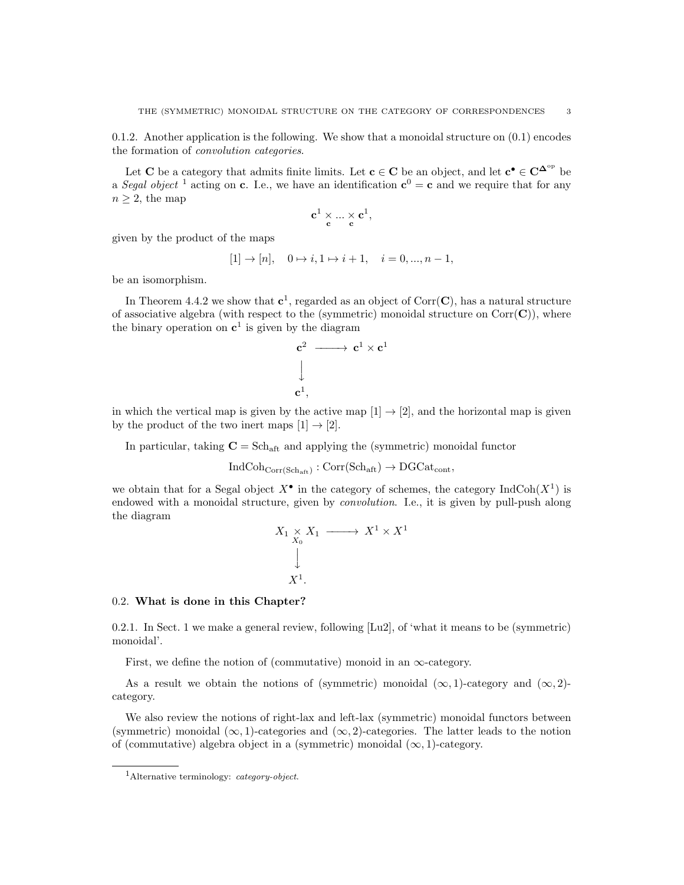0.1.2. Another application is the following. We show that a monoidal structure on  $(0.1)$  encodes the formation of convolution categories.

Let C be a category that admits finite limits. Let  $c \in C$  be an object, and let  $c^{\bullet} \in C^{\Delta^{\mathrm{op}}}$  be a Segal object <sup>1</sup> acting on **c**. I.e., we have an identification  $\mathbf{c}^0 = \mathbf{c}$  and we require that for any  $n \geq 2$ , the map

$$
\mathbf{c}^1 \underset{\mathbf{c}}{\times} ... \underset{\mathbf{c}}{\times} \mathbf{c}^1,
$$

given by the product of the maps

$$
[1] \rightarrow [n], \quad 0 \mapsto i, 1 \mapsto i+1, \quad i = 0, ..., n-1,
$$

be an isomorphism.

In Theorem 4.4.2 we show that  $c^1$ , regarded as an object of Corr(C), has a natural structure of associative algebra (with respect to the (symmetric) monoidal structure on  $Corr(\mathbf{C})$ ), where the binary operation on  $c^1$  is given by the diagram

$$
\begin{array}{ccc}\n\mathbf{c}^2 & \longrightarrow & \mathbf{c}^1 \times \mathbf{c}^1 \\
\downarrow & & \\
\mathbf{c}^1, & & \n\end{array}
$$

in which the vertical map is given by the active map  $[1] \rightarrow [2]$ , and the horizontal map is given by the product of the two inert maps  $[1] \rightarrow [2]$ .

In particular, taking  $\mathbf{C} = \text{Sch}_{\text{aft}}$  and applying the (symmetric) monoidal functor

 $IndCoh_{Corr(Sch_{aff})} : Corr(Sch_{aff}) \rightarrow DGCat_{cont},$ 

we obtain that for a Segal object  $X^{\bullet}$  in the category of schemes, the category IndCoh $(X^1)$  is endowed with a monoidal structure, given by convolution. I.e., it is given by pull-push along the diagram

$$
X_1 \underset{X_0}{\times} X_1 \longrightarrow X^1 \times X^1
$$
  
\n
$$
\downarrow
$$
  
\n
$$
X^1.
$$

#### 0.2. What is done in this Chapter?

0.2.1. In Sect. 1 we make a general review, following [Lu2], of 'what it means to be (symmetric) monoidal'.

First, we define the notion of (commutative) monoid in an  $\infty$ -category.

As a result we obtain the notions of (symmetric) monoidal  $(\infty, 1)$ -category and  $(\infty, 2)$ category.

We also review the notions of right-lax and left-lax (symmetric) monoidal functors between (symmetric) monoidal  $(\infty, 1)$ -categories and  $(\infty, 2)$ -categories. The latter leads to the notion of (commutative) algebra object in a (symmetric) monoidal  $(\infty, 1)$ -category.

<sup>&</sup>lt;sup>1</sup>Alternative terminology: *category-object*.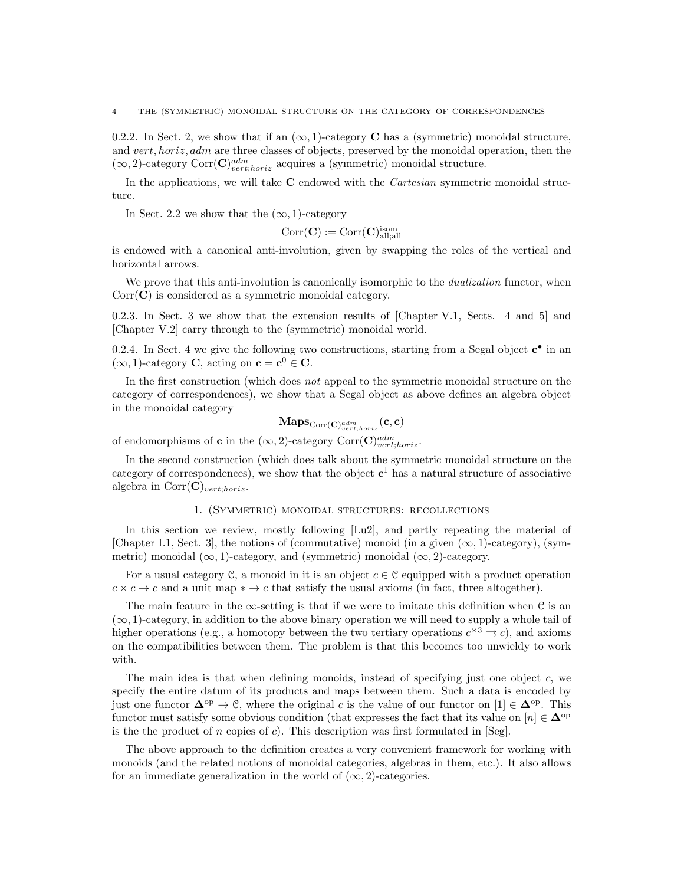0.2.2. In Sect. 2, we show that if an  $(\infty, 1)$ -category **C** has a (symmetric) monoidal structure, and vert, horiz, adm are three classes of objects, preserved by the monoidal operation, then the  $(\infty, 2)$ -category Corr $(\mathbf{C})^{adm}_{vert;horiz}$  acquires a (symmetric) monoidal structure.

In the applications, we will take C endowed with the *Cartesian* symmetric monoidal structure.

In Sect. 2.2 we show that the  $(\infty, 1)$ -category

$$
\mathrm{Corr}(\mathbf{C}):=\mathrm{Corr}(\mathbf{C})_{\mathrm{all;all}}^{\mathrm{isom}}
$$

is endowed with a canonical anti-involution, given by swapping the roles of the vertical and horizontal arrows.

We prove that this anti-involution is canonically isomorphic to the *dualization* functor, when  $Corr(\mathbf{C})$  is considered as a symmetric monoidal category.

0.2.3. In Sect. 3 we show that the extension results of [Chapter V.1, Sects. 4 and 5] and [Chapter V.2] carry through to the (symmetric) monoidal world.

0.2.4. In Sect. 4 we give the following two constructions, starting from a Segal object  $\mathbf{c}^{\bullet}$  in an  $(\infty, 1)$ -category **C**, acting on **c** = **c**<sup>0</sup>  $\in$  **C**.

In the first construction (which does not appeal to the symmetric monoidal structure on the category of correspondences), we show that a Segal object as above defines an algebra object in the monoidal category

$$
\mathbf{Maps}_{\mathrm{Corr}(\mathbf{C})^{adm}_{vert;horiz}}(\mathbf{c}, \mathbf{c})
$$

of endomorphisms of **c** in the  $(\infty, 2)$ -category Corr $(\mathbf{C})^{adm}_{vert;horiz}$ .

In the second construction (which does talk about the symmetric monoidal structure on the category of correspondences), we show that the object  $c^1$  has a natural structure of associative algebra in  $Corr(\mathbf{C})_{vert;horiz}$ .

#### 1. (Symmetric) monoidal structures: recollections

In this section we review, mostly following [Lu2], and partly repeating the material of [Chapter I.1, Sect. 3], the notions of (commutative) monoid (in a given  $(\infty, 1)$ -category), (symmetric) monoidal ( $\infty$ , 1)-category, and (symmetric) monoidal ( $\infty$ , 2)-category.

For a usual category C, a monoid in it is an object  $c \in \mathcal{C}$  equipped with a product operation  $c \times c \rightarrow c$  and a unit map  $\ast \rightarrow c$  that satisfy the usual axioms (in fact, three altogether).

The main feature in the  $\infty$ -setting is that if we were to imitate this definition when C is an  $(\infty, 1)$ -category, in addition to the above binary operation we will need to supply a whole tail of higher operations (e.g., a homotopy between the two tertiary operations  $c^{\times 3} \rightrightarrows c$ ), and axioms on the compatibilities between them. The problem is that this becomes too unwieldy to work with.

The main idea is that when defining monoids, instead of specifying just one object  $c$ , we specify the entire datum of its products and maps between them. Such a data is encoded by just one functor  $\mathbf{\Delta}^{\mathrm{op}} \to \mathbb{C}$ , where the original c is the value of our functor on  $[1] \in \mathbf{\Delta}^{\mathrm{op}}$ . This functor must satisfy some obvious condition (that expresses the fact that its value on  $[n] \in \mathbb{\Delta}^{\text{op}}$ is the the product of n copies of c). This description was first formulated in [Seg].

The above approach to the definition creates a very convenient framework for working with monoids (and the related notions of monoidal categories, algebras in them, etc.). It also allows for an immediate generalization in the world of  $(\infty, 2)$ -categories.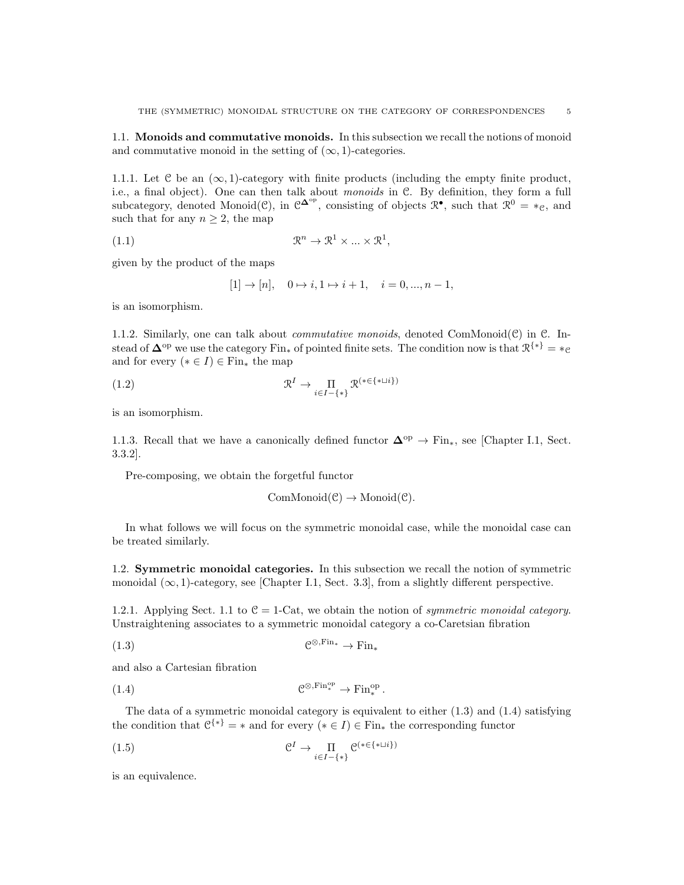1.1. Monoids and commutative monoids. In this subsection we recall the notions of monoid and commutative monoid in the setting of  $(\infty, 1)$ -categories.

1.1.1. Let  $\mathfrak C$  be an  $(\infty, 1)$ -category with finite products (including the empty finite product, i.e., a final object). One can then talk about monoids in  $C$ . By definition, they form a full subcategory, denoted Monoid( $\mathcal{C}$ ), in  $\mathcal{C}^{\mathbf{\Delta}^{\mathrm{op}}}$ , consisting of objects  $\mathcal{R}^{\bullet}$ , such that  $\mathcal{R}^0 = *_{\mathcal{C}}$ , and such that for any  $n \geq 2$ , the map

$$
(1.1) \t\t \mathbb{R}^n \to \mathbb{R}^1 \times \dots \times \mathbb{R}^1,
$$

given by the product of the maps

$$
[1] \rightarrow [n], \quad 0 \mapsto i, 1 \mapsto i+1, \quad i = 0, ..., n-1,
$$

is an isomorphism.

1.1.2. Similarly, one can talk about *commutative monoids*, denoted ComMonoid $(\mathcal{C})$  in  $\mathcal{C}$ . Instead of  $\Delta^{op}$  we use the category Fin<sub>\*</sub> of pointed finite sets. The condition now is that  $\mathcal{R}^{\{*\}} = *_{\mathcal{C}}$ and for every  $(* \in I) \in \text{Fin}_*$  the map

(1.2) 
$$
\mathfrak{R}^I \to \prod_{i \in I - \{*\}} \mathfrak{R}^{(*\in \{*\sqcup i\})}
$$

is an isomorphism.

1.1.3. Recall that we have a canonically defined functor  $\Delta^{\rm op} \to \text{Fin}_*$ , see [Chapter I.1, Sect. 3.3.2].

Pre-composing, we obtain the forgetful functor

 $ComMonoid(\mathcal{C}) \rightarrow Monoid(\mathcal{C}).$ 

In what follows we will focus on the symmetric monoidal case, while the monoidal case can be treated similarly.

1.2. Symmetric monoidal categories. In this subsection we recall the notion of symmetric monoidal  $(\infty, 1)$ -category, see [Chapter I.1, Sect. 3.3], from a slightly different perspective.

1.2.1. Applying Sect. 1.1 to  $C = 1$ -Cat, we obtain the notion of *symmetric monoidal category*. Unstraightening associates to a symmetric monoidal category a co-Caretsian fibration

 $(1.3)$  $\mathcal{C}^{\otimes,\operatorname{Fin}_*} \to \operatorname{Fin}_*$ 

and also a Cartesian fibration

(1.4) 
$$
\mathcal{C}^{\otimes,\operatorname{Fin}^{\operatorname{op}}_*} \to \operatorname{Fin}^{\operatorname{op}}_*.
$$

The data of a symmetric monoidal category is equivalent to either  $(1.3)$  and  $(1.4)$  satisfying the condition that  $\mathcal{C}^{\{*\}} = *$  and for every  $(* \in I) \in \text{Fin}_*$  the corresponding functor

$$
(1.5) \t\t\t\t\mathcal{C}^I \to \prod_{i \in I - \{*\}} \mathcal{C}^{(*\in \{*\sqcup i\})}
$$

is an equivalence.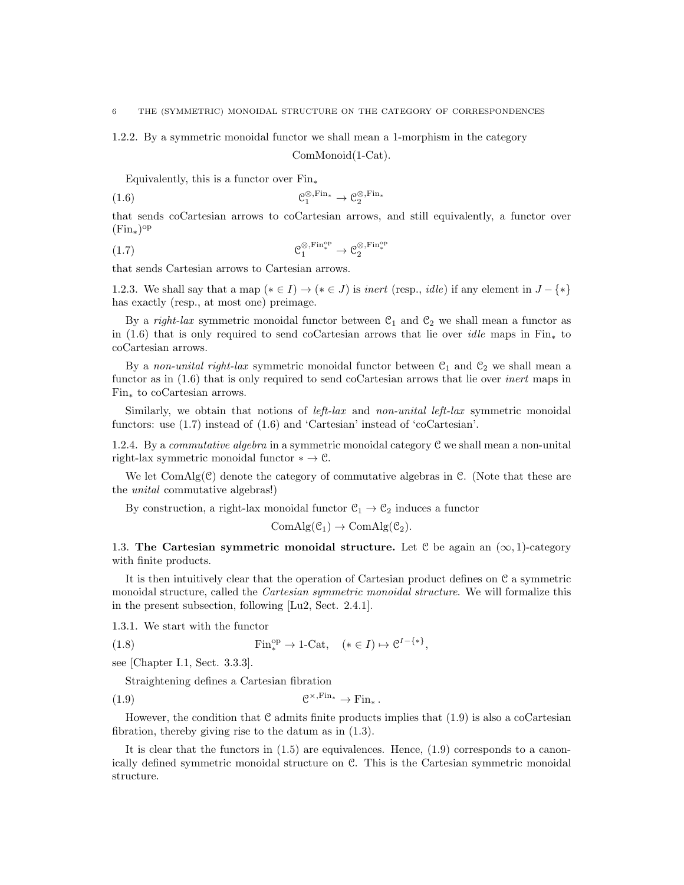1.2.2. By a symmetric monoidal functor we shall mean a 1-morphism in the category

ComMonoid(1-Cat).

Equivalently, this is a functor over  $Fin_*$ 

(1.6) 
$$
\mathcal{C}_1^{\otimes,\operatorname{Fin}_*} \to \mathcal{C}_2^{\otimes,\operatorname{Fin}_*}
$$

that sends coCartesian arrows to coCartesian arrows, and still equivalently, a functor over (Fin∗) op

$$
\mathcal{C}_1^{\otimes,\operatorname{Fin}^{\operatorname{op}}_*} \to \mathcal{C}_2^{\otimes,\operatorname{Fin}^{\operatorname{op}}_*}
$$

that sends Cartesian arrows to Cartesian arrows.

1.2.3. We shall say that a map  $(* \in I) \rightarrow (* \in J)$  is *inert* (resp., *idle*) if any element in  $J - \{*\}$ has exactly (resp., at most one) preimage.

By a right-lax symmetric monoidal functor between  $\mathcal{C}_1$  and  $\mathcal{C}_2$  we shall mean a functor as in (1.6) that is only required to send coCartesian arrows that lie over *idle* maps in Fin<sub>\*</sub> to coCartesian arrows.

By a non-unital right-lax symmetric monoidal functor between  $\mathcal{C}_1$  and  $\mathcal{C}_2$  we shall mean a functor as in  $(1.6)$  that is only required to send coCartesian arrows that lie over *inert* maps in Fin<sup>∗</sup> to coCartesian arrows.

Similarly, we obtain that notions of *left-lax* and *non-unital left-lax* symmetric monoidal functors: use (1.7) instead of (1.6) and 'Cartesian' instead of 'coCartesian'.

1.2.4. By a *commutative algebra* in a symmetric monoidal category  $\mathcal C$  we shall mean a non-unital right-lax symmetric monoidal functor  $* \to \mathcal{C}$ .

We let  $ComAlg(\mathcal{C})$  denote the category of commutative algebras in  $\mathcal{C}$ . (Note that these are the unital commutative algebras!)

By construction, a right-lax monoidal functor  $\mathcal{C}_1 \rightarrow \mathcal{C}_2$  induces a functor

 $ComAlg(\mathcal{C}_1) \rightarrow ComAlg(\mathcal{C}_2).$ 

1.3. The Cartesian symmetric monoidal structure. Let  $C$  be again an  $(\infty, 1)$ -category with finite products.

It is then intuitively clear that the operation of Cartesian product defines on C a symmetric monoidal structure, called the *Cartesian symmetric monoidal structure*. We will formalize this in the present subsection, following [Lu2, Sect. 2.4.1].

1.3.1. We start with the functor

(1.8) 
$$
\operatorname{Fin}^{\text{op}}_* \to 1\text{-Cat}, \quad (* \in I) \mapsto \mathcal{C}^{I-\{*\}},
$$

see [Chapter I.1, Sect. 3.3.3].

Straightening defines a Cartesian fibration

 $(1.9)$   $\qquad \qquad \mathcal{C}$  $\mathcal{C}^{\times,\operatorname{Fin}_*} \to \operatorname{Fin}_*$ .

However, the condition that  $\mathcal C$  admits finite products implies that (1.9) is also a coCartesian fibration, thereby giving rise to the datum as in (1.3).

It is clear that the functors in  $(1.5)$  are equivalences. Hence,  $(1.9)$  corresponds to a canonically defined symmetric monoidal structure on C. This is the Cartesian symmetric monoidal structure.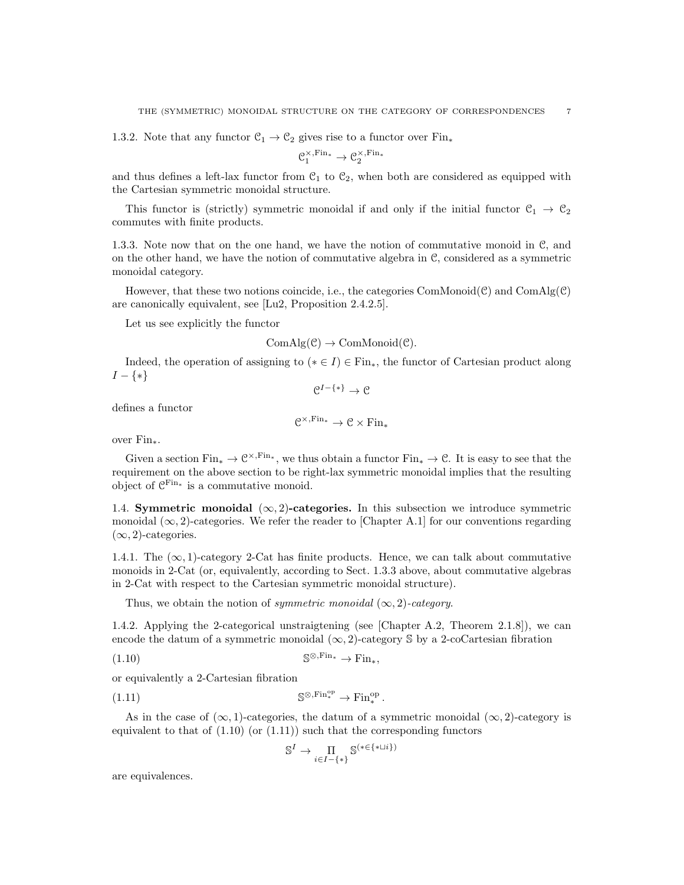1.3.2. Note that any functor  $C_1 \rightarrow C_2$  gives rise to a functor over Fin<sub>\*</sub>

$$
\mathcal{C}_1^{\times,\operatorname{Fin}_*} \to \mathcal{C}_2^{\times,\operatorname{Fin}_*}
$$

and thus defines a left-lax functor from  $\mathcal{C}_1$  to  $\mathcal{C}_2$ , when both are considered as equipped with the Cartesian symmetric monoidal structure.

This functor is (strictly) symmetric monoidal if and only if the initial functor  $\mathcal{C}_1 \to \mathcal{C}_2$ commutes with finite products.

1.3.3. Note now that on the one hand, we have the notion of commutative monoid in C, and on the other hand, we have the notion of commutative algebra in C, considered as a symmetric monoidal category.

However, that these two notions coincide, i.e., the categories ComMonoid $(\mathcal{C})$  and ComAlg $(\mathcal{C})$ are canonically equivalent, see [Lu2, Proposition 2.4.2.5].

Let us see explicitly the functor

$$
ComAlg(\mathcal{C}) \to ComMonoid(\mathcal{C}).
$$

Indeed, the operation of assigning to ( $*\in I$ )  $\in$  Fin<sub>\*</sub>, the functor of Cartesian product along  $I - \{ * \}$  $\mathcal{C}^{I-\{*\}} \rightarrow \mathcal{C}$ 

defines a functor

$$
\mathcal{C}^{\times,\operatorname{Fin}_*}\to\mathcal{C}\times\operatorname{Fin}_*
$$

over Fin∗.

Given a section  $\text{Fin}_{*} \to \mathcal{C}^{\times,\text{Fin}_{*}}$ , we thus obtain a functor  $\text{Fin}_{*} \to \mathcal{C}$ . It is easy to see that the requirement on the above section to be right-lax symmetric monoidal implies that the resulting object of  $\mathcal{C}^{\text{Fin}*}$  is a commutative monoid.

1.4. Symmetric monoidal  $(\infty, 2)$ -categories. In this subsection we introduce symmetric monoidal  $(\infty, 2)$ -categories. We refer the reader to [Chapter A.1] for our conventions regarding  $(\infty, 2)$ -categories.

1.4.1. The  $(\infty, 1)$ -category 2-Cat has finite products. Hence, we can talk about commutative monoids in 2-Cat (or, equivalently, according to Sect. 1.3.3 above, about commutative algebras in 2-Cat with respect to the Cartesian symmetric monoidal structure).

Thus, we obtain the notion of *symmetric monoidal*  $(\infty, 2)$ -category.

1.4.2. Applying the 2-categorical unstraigtening (see [Chapter A.2, Theorem 2.1.8]), we can encode the datum of a symmetric monoidal  $(\infty, 2)$ -category S by a 2-coCartesian fibration

$$
(1.10) \t\t\t\t\t\t\mathbb{S}^{\otimes,\text{Fin}_{*}} \to \text{Fin}_{*},
$$

or equivalently a 2-Cartesian fibration

(1.11) 
$$
\mathbb{S}^{\otimes,\text{Fin}^{\text{op}}_*} \to \text{Fin}^{\text{op}}_*.
$$

As in the case of  $(\infty, 1)$ -categories, the datum of a symmetric monoidal  $(\infty, 2)$ -category is equivalent to that of  $(1.10)$  (or  $(1.11)$ ) such that the corresponding functors

$$
\mathbb{S}^I \to \underset{i \in I-\{*\}}{\Pi} \mathbb{S}^{(*\in \{*\sqcup i\})}
$$

are equivalences.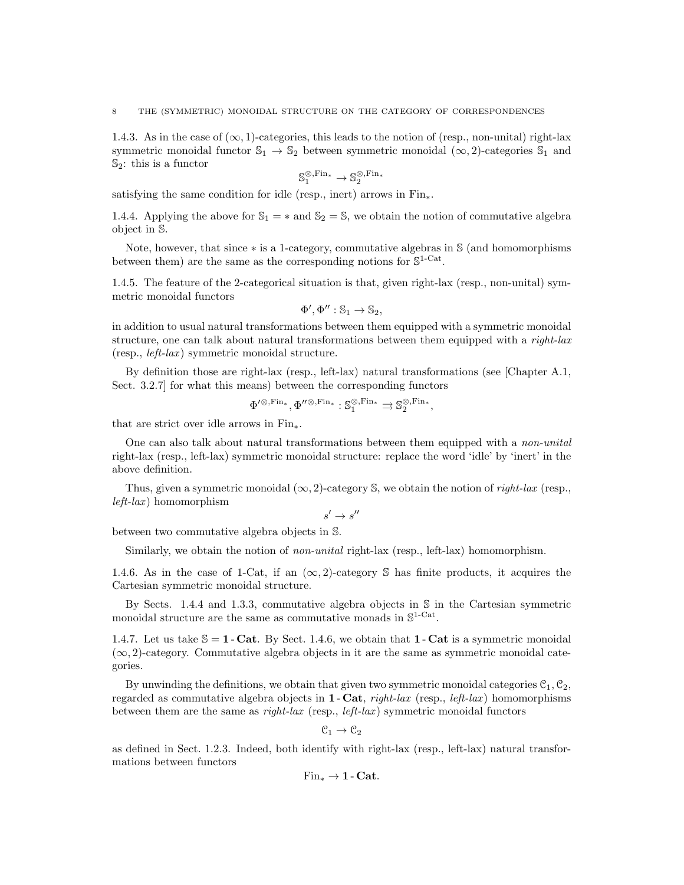1.4.3. As in the case of  $(\infty, 1)$ -categories, this leads to the notion of (resp., non-unital) right-lax symmetric monoidal functor  $\mathbb{S}_1 \to \mathbb{S}_2$  between symmetric monoidal  $(\infty, 2)$ -categories  $\mathbb{S}_1$  and  $\mathbb{S}_2$ : this is a functor

$$
\mathbb{S}_1^{\otimes,\operatorname{Fin}_*} \to \mathbb{S}_2^{\otimes,\operatorname{Fin}_*}
$$

satisfying the same condition for idle (resp., inert) arrows in  $Fin_*$ .

1.4.4. Applying the above for  $\mathbb{S}_1 = *$  and  $\mathbb{S}_2 = \mathbb{S}$ , we obtain the notion of commutative algebra object in S.

Note, however, that since ∗ is a 1-category, commutative algebras in S (and homomorphisms between them) are the same as the corresponding notions for  $\mathbb{S}^{1-\text{Cat}}$ .

1.4.5. The feature of the 2-categorical situation is that, given right-lax (resp., non-unital) symmetric monoidal functors

$$
\Phi', \Phi'': \mathbb{S}_1 \to \mathbb{S}_2,
$$

in addition to usual natural transformations between them equipped with a symmetric monoidal structure, one can talk about natural transformations between them equipped with a right-lax  $(resp., left-lax)$  symmetric monoidal structure.

By definition those are right-lax (resp., left-lax) natural transformations (see [Chapter A.1, Sect. 3.2.7] for what this means) between the corresponding functors

$$
\Phi'^{\otimes,\operatorname{Fin}_*},\Phi''^{\otimes,\operatorname{Fin}_*}: \mathbb{S}_1^{\otimes,\operatorname{Fin}_*} \rightrightarrows \mathbb{S}_2^{\otimes,\operatorname{Fin}_*},
$$

that are strict over idle arrows in Fin∗.

One can also talk about natural transformations between them equipped with a non-unital right-lax (resp., left-lax) symmetric monoidal structure: replace the word 'idle' by 'inert' in the above definition.

Thus, given a symmetric monoidal  $(\infty, 2)$ -category S, we obtain the notion of *right-lax* (resp.,  $left-law$ ) homomorphism

$$
s' \to s''
$$

between two commutative algebra objects in S.

Similarly, we obtain the notion of *non-unital* right-lax (resp., left-lax) homomorphism.

1.4.6. As in the case of 1-Cat, if an  $(\infty, 2)$ -category S has finite products, it acquires the Cartesian symmetric monoidal structure.

By Sects. 1.4.4 and 1.3.3, commutative algebra objects in S in the Cartesian symmetric monoidal structure are the same as commutative monads in  $\mathbb{S}^{1-\text{Cat}}$ .

1.4.7. Let us take  $\mathcal{S} = 1$  - Cat. By Sect. 1.4.6, we obtain that 1 - Cat is a symmetric monoidal  $(\infty, 2)$ -category. Commutative algebra objects in it are the same as symmetric monoidal categories.

By unwinding the definitions, we obtain that given two symmetric monoidal categories  $C_1, C_2$ , regarded as commutative algebra objects in **1** - Cat, right-lax (resp., *left-lax*) homomorphisms between them are the same as  $right-law$  (resp., *left-lax*) symmetric monoidal functors

$$
\mathcal{C}_1\to\mathcal{C}_2
$$

as defined in Sect. 1.2.3. Indeed, both identify with right-lax (resp., left-lax) natural transformations between functors

$$
\mathrm{Fin}_*\to 1\text{-}\mathbf{Cat}.
$$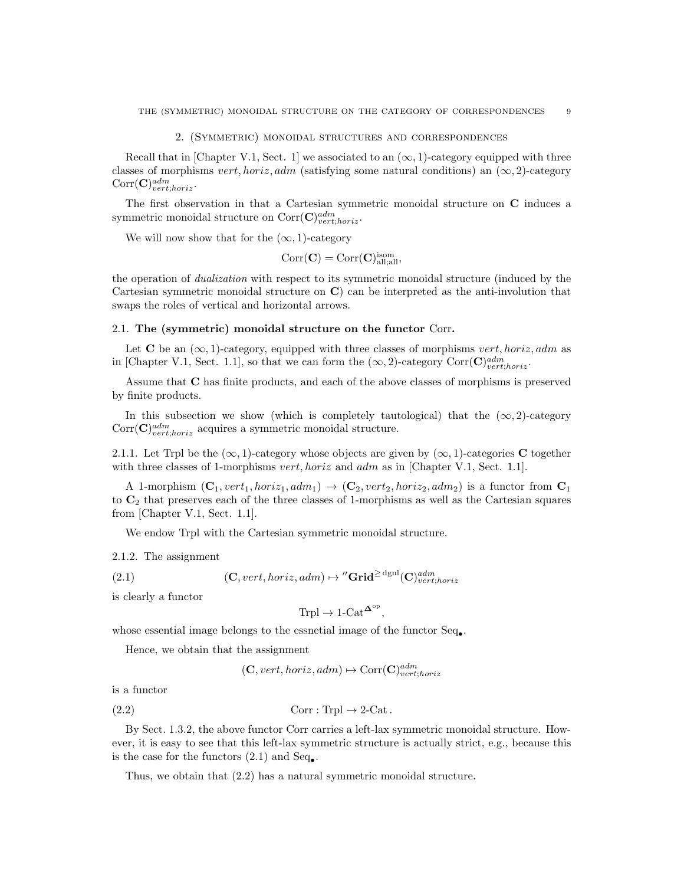#### 2. (Symmetric) monoidal structures and correspondences

Recall that in [Chapter V.1, Sect. 1] we associated to an  $(\infty, 1)$ -category equipped with three classes of morphisms vert, horiz, adm (satisfying some natural conditions) an  $(\infty, 2)$ -category  $Corr(\mathbf{C})^{adm}_{vert;horiz}.$ 

The first observation in that a Cartesian symmetric monoidal structure on C induces a symmetric monoidal structure on  $Corr(\mathbf{C})^{adm}_{vert;horiz}.$ 

We will now show that for the  $(\infty, 1)$ -category

$$
\mathrm{Corr}(\mathbf{C})=\mathrm{Corr}(\mathbf{C})_{\mathrm{all;all}}^{\mathrm{isom}},
$$

the operation of dualization with respect to its symmetric monoidal structure (induced by the Cartesian symmetric monoidal structure on C) can be interpreted as the anti-involution that swaps the roles of vertical and horizontal arrows.

#### 2.1. The (symmetric) monoidal structure on the functor Corr.

Let C be an  $(\infty, 1)$ -category, equipped with three classes of morphisms vert, horiz, adm as in [Chapter V.1, Sect. 1.1], so that we can form the  $(\infty, 2)$ -category Corr(C) $_{vert, horiz}^{adm}$ .

Assume that C has finite products, and each of the above classes of morphisms is preserved by finite products.

In this subsection we show (which is completely tautological) that the  $(\infty, 2)$ -category  $Corr(\mathbf{C})^{adm}_{vert,horiz}$  acquires a symmetric monoidal structure.

2.1.1. Let Trpl be the  $(\infty, 1)$ -category whose objects are given by  $(\infty, 1)$ -categories C together with three classes of 1-morphisms *vert, horiz* and *adm* as in [Chapter V.1, Sect. 1.1].

A 1-morphism  $(C_1, vert_1, horiz_1, adm_1) \rightarrow (C_2, vert_2, horiz_2, adm_2)$  is a functor from  $C_1$ to  $\mathbb{C}_2$  that preserves each of the three classes of 1-morphisms as well as the Cartesian squares from [Chapter V.1, Sect. 1.1].

We endow Trpl with the Cartesian symmetric monoidal structure.

2.1.2. The assignment

(2.1) 
$$
(\mathbf{C}, vert, horiz, adm) \mapsto \text{''Grid}^{\geq dgnl}(\mathbf{C})_{vert; horiz}^{adm}
$$

is clearly a functor

$$
\text{Trpl} \to 1\text{-Cat}^{\mathbf{\Delta}^{\text{op}}},
$$

whose essential image belongs to the essnetial image of the functor  $\text{Seq}_{\bullet}$ .

Hence, we obtain that the assignment

 $(C, vert, horiz, adm) \mapsto \text{Corr}(\mathbf{C})^{adm}_{vert; horiz}$ 

is a functor

(2.2) 
$$
Corr: Trpl \to 2-Cat.
$$

By Sect. 1.3.2, the above functor Corr carries a left-lax symmetric monoidal structure. However, it is easy to see that this left-lax symmetric structure is actually strict, e.g., because this is the case for the functors  $(2.1)$  and  $Seq_{\bullet}$ .

Thus, we obtain that (2.2) has a natural symmetric monoidal structure.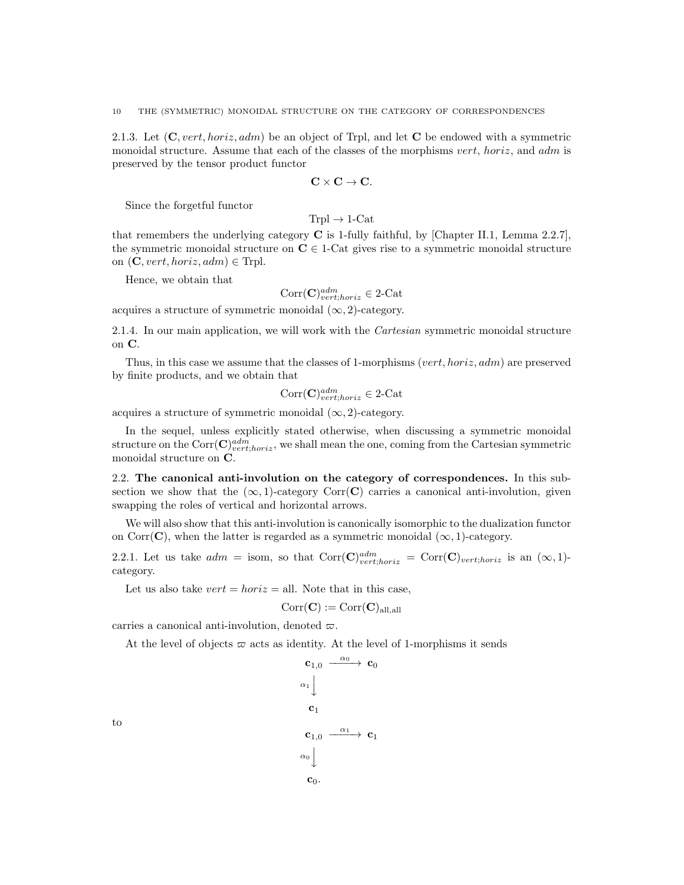2.1.3. Let  $(C, vert, horiz, adm)$  be an object of Trpl, and let C be endowed with a symmetric monoidal structure. Assume that each of the classes of the morphisms vert, horiz, and adm is preserved by the tensor product functor

$$
\mathbf{C}\times\mathbf{C}\rightarrow\mathbf{C}.
$$

Since the forgetful functor

$$
Trpl \to 1\text{-Cat}
$$

that remembers the underlying category  $C$  is 1-fully faithful, by [Chapter II.1, Lemma 2.2.7], the symmetric monoidal structure on  $C \in 1$ -Cat gives rise to a symmetric monoidal structure on  $(C, vert, horiz, adm) \in Trpl.$ 

Hence, we obtain that

$$
Corr(\mathbf{C})^{adm}_{vert;horiz} \in 2\text{-Cat}
$$

acquires a structure of symmetric monoidal  $(\infty, 2)$ -category.

2.1.4. In our main application, we will work with the Cartesian symmetric monoidal structure on C.

Thus, in this case we assume that the classes of 1-morphisms (vert, horiz,  $adm$ ) are preserved by finite products, and we obtain that

$$
Corr(\mathbf{C})^{adm}_{vert;horiz} \in 2\text{-Cat}
$$

acquires a structure of symmetric monoidal  $(\infty, 2)$ -category.

In the sequel, unless explicitly stated otherwise, when discussing a symmetric monoidal structure on the  $Corr(\mathbf{C})^{adm}_{vert,horiz}$ , we shall mean the one, coming from the Cartesian symmetric monoidal structure on C.

2.2. The canonical anti-involution on the category of correspondences. In this subsection we show that the  $(\infty, 1)$ -category Corr(C) carries a canonical anti-involution, given swapping the roles of vertical and horizontal arrows.

We will also show that this anti-involution is canonically isomorphic to the dualization functor on Corr( $\bf{C}$ ), when the latter is regarded as a symmetric monoidal ( $\infty$ , 1)-category.

2.2.1. Let us take  $adm = \text{isom}$ , so that  $\text{Corr}(\mathbf{C})_{vert,horiz}^{adm} = \text{Corr}(\mathbf{C})_{vert,horiz}$  is an  $(\infty, 1)$ category.

Let us also take  $vert = horiz = all$ . Note that in this case,

$$
\mathrm{Corr}(\mathbf{C}):=\mathrm{Corr}(\mathbf{C})_{\mathrm{all, all}}
$$

carries a canonical anti-involution, denoted  $\varpi$ .

At the level of objects  $\varpi$  acts as identity. At the level of 1-morphisms it sends

 $\mathbf{c}_{1,0} \stackrel{\alpha_0}{\longrightarrow} \mathbf{c}_0$  $\alpha_1 \left\downarrow$  $c_1$  $\mathbf{c}_{1,0} \stackrel{\alpha_1}{\longrightarrow} \mathbf{c}_1$  $\alpha_0$  $\mathbf{c}_0$ .

to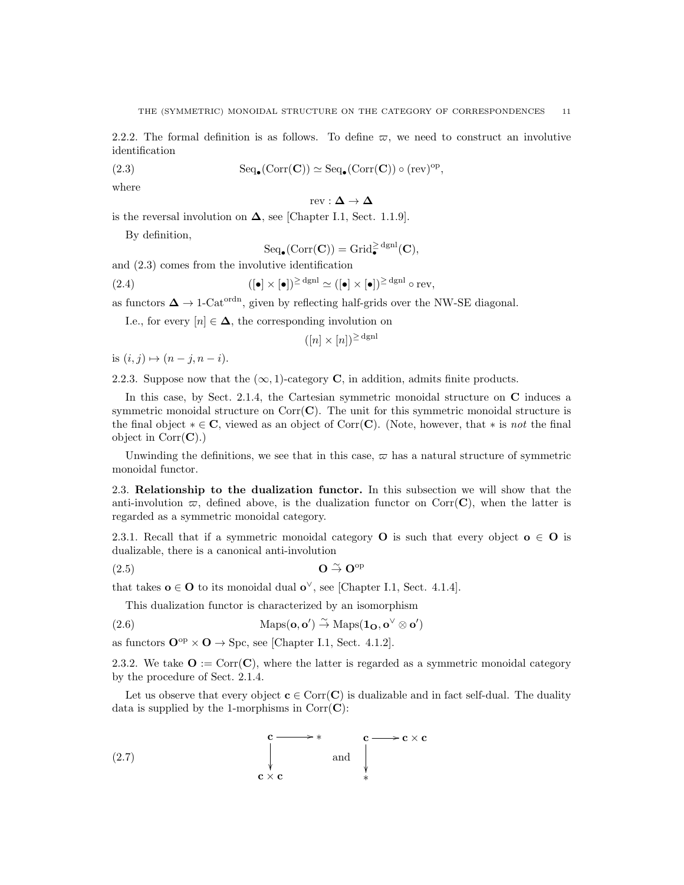2.2.2. The formal definition is as follows. To define  $\varpi$ , we need to construct an involutive identification

(2.3) 
$$
\text{Seq}_{\bullet}(\text{Corr}(\mathbf{C})) \simeq \text{Seq}_{\bullet}(\text{Corr}(\mathbf{C})) \circ (\text{rev})^{\text{op}},
$$

where

 $rev : \Delta \to \Delta$ 

is the reversal involution on  $\Delta$ , see [Chapter I.1, Sect. 1.1.9].

By definition,

$$
\mathrm{Seq}_\bullet(\mathrm{Corr}(\mathbf{C}))=\mathrm{Grid}_\bullet^{\geq \,\mathrm{dgnl}}(\mathbf{C}),
$$

and (2.3) comes from the involutive identification

(2.4) 
$$
([\bullet] \times [\bullet])^{\geq \text{dgm}} \simeq ([\bullet] \times [\bullet])^{\geq \text{dgm}} \circ \text{rev},
$$

as functors  $\Delta \to 1$ -Cat<sup>ordn</sup>, given by reflecting half-grids over the NW-SE diagonal.

I.e., for every  $[n] \in \Delta$ , the corresponding involution on

$$
([n] \times [n])^{\geq dgnl}
$$

is  $(i, j) \mapsto (n - j, n - i)$ .

2.2.3. Suppose now that the  $(\infty, 1)$ -category **C**, in addition, admits finite products.

In this case, by Sect. 2.1.4, the Cartesian symmetric monoidal structure on C induces a symmetric monoidal structure on  $Corr(C)$ . The unit for this symmetric monoidal structure is the final object  $* \in \mathbb{C}$ , viewed as an object of Corr(C). (Note, however, that  $*$  is not the final object in  $Corr(\mathbf{C})$ .)

Unwinding the definitions, we see that in this case,  $\varpi$  has a natural structure of symmetric monoidal functor.

2.3. Relationship to the dualization functor. In this subsection we will show that the anti-involution  $\varpi$ , defined above, is the dualization functor on Corr(C), when the latter is regarded as a symmetric monoidal category.

2.3.1. Recall that if a symmetric monoidal category **O** is such that every object  $o \in O$  is dualizable, there is a canonical anti-involution

(2.5) O <sup>∼</sup>→ Oop

that takes  $o \in O$  to its monoidal dual  $o^{\vee}$ , see [Chapter I.1, Sect. 4.1.4].

This dualization functor is characterized by an isomorphism

(2.6) Maps $(\mathbf{o}, \mathbf{o}') \overset{\sim}{\to} \text{Maps}(\mathbf{1}_{\mathbf{O}}, \mathbf{o}^{\vee} \otimes \mathbf{o}')$ 

as functors  $\mathbf{O}^{\text{op}} \times \mathbf{O} \to \text{Spc}$ , see [Chapter I.1, Sect. 4.1.2].

2.3.2. We take  $\mathbf{O} := \text{Corr}(\mathbf{C})$ , where the latter is regarded as a symmetric monoidal category by the procedure of Sect. 2.1.4.

Let us observe that every object  $c \in \text{Corr}(\mathbf{C})$  is dualizable and in fact self-dual. The duality data is supplied by the 1-morphisms in  $Corr(\mathbf{C})$ :

(2.7) 
$$
\mathbf{c} \longrightarrow \mathbf{c} \times \mathbf{c}
$$
 and 
$$
\downarrow \qquad \qquad \downarrow \qquad \qquad \downarrow
$$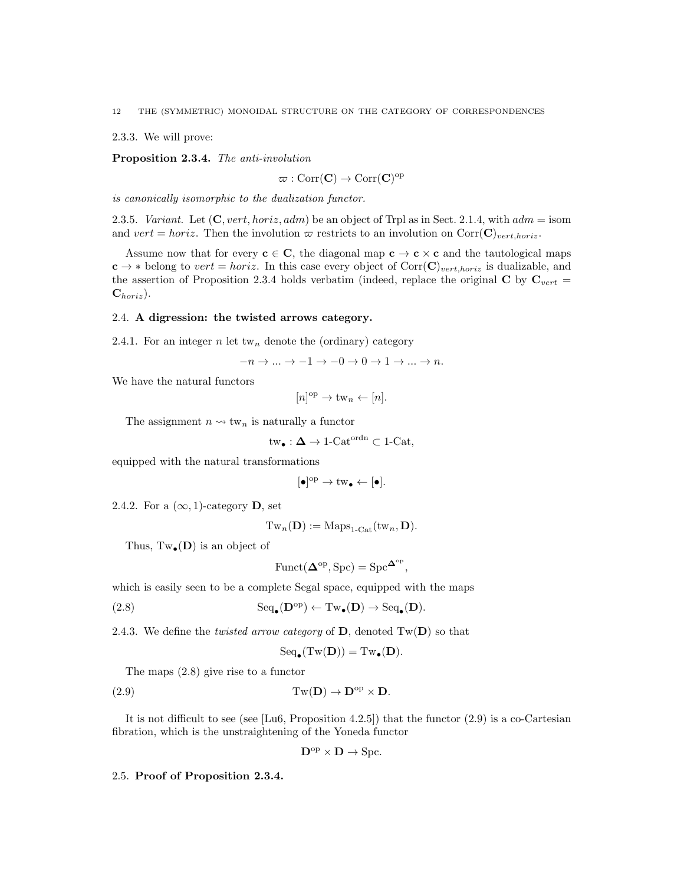2.3.3. We will prove:

Proposition 2.3.4. The anti-involution

$$
\varpi: \mathrm{Corr}(\mathbf{C}) \to \mathrm{Corr}(\mathbf{C})^{\mathrm{op}}
$$

is canonically isomorphic to the dualization functor.

2.3.5. Variant. Let  $(C, vert, horiz, adm)$  be an object of Trpl as in Sect. 2.1.4, with  $adm = \text{isom}$ and vert = horiz. Then the involution  $\varpi$  restricts to an involution on Corr( $\mathbf{C})_{vert,horiz}$ .

Assume now that for every  $c \in C$ , the diagonal map  $c \to c \times c$  and the tautological maps  $c \rightarrow *$  belong to vert = horiz. In this case every object of Corr(C)<sub>vert,horiz</sub> is dualizable, and the assertion of Proposition 2.3.4 holds verbatim (indeed, replace the original C by  $C_{vert}$  =  $\mathbf{C}_{horiz}$ ).

### 2.4. A digression: the twisted arrows category.

2.4.1. For an integer n let tw<sub>n</sub> denote the (ordinary) category

$$
-n \to \dots \to -1 \to -0 \to 0 \to 1 \to \dots \to n.
$$

We have the natural functors

$$
[n]^{\mathrm{op}} \to \mathrm{tw}_n \leftarrow [n].
$$

The assignment  $n \leadsto \text{tw}_n$  is naturally a functor

$$
\mathrm{tw}_\bullet : \Delta \to 1\text{-}\mathrm{Cat}^\mathrm{ordn} \subset 1\text{-}\mathrm{Cat},
$$

equipped with the natural transformations

$$
[\bullet]^{\mathrm{op}} \to \mathrm{tw}_{\bullet} \leftarrow [\bullet].
$$

2.4.2. For a  $(\infty, 1)$ -category **D**, set

$$
\mathrm{Tw}_{n}(\mathbf{D}):=\mathrm{Maps}_{1\text{-}\mathrm{Cat}}(\mathrm{tw}_{n},\mathbf{D}).
$$

Thus,  $Tw_{\bullet}(\mathbf{D})$  is an object of

$$
\text{Funct}(\mathbf{\Delta}^{\text{op}}, \text{Spc}) = \text{Spc}^{\mathbf{\Delta}^{\text{op}}},
$$

which is easily seen to be a complete Segal space, equipped with the maps

(2.8) 
$$
\text{Seq}_{\bullet}(\mathbf{D}^{\text{op}}) \leftarrow \text{Tw}_{\bullet}(\mathbf{D}) \rightarrow \text{Seq}_{\bullet}(\mathbf{D}).
$$

2.4.3. We define the *twisted arrow category* of  $D$ , denoted  $Tw(D)$  so that

$$
\mathrm{Seq}_{\bullet}(\mathrm{Tw}(\mathbf{D})) = \mathrm{Tw}_{\bullet}(\mathbf{D}).
$$

The maps (2.8) give rise to a functor

(2.9) 
$$
Tw(D) \to D^{op} \times D.
$$

It is not difficult to see (see  $[Lu6, Proposition 4.2.5])$  that the functor  $(2.9)$  is a co-Cartesian fibration, which is the unstraightening of the Yoneda functor

$$
\mathbf{D}^{\mathrm{op}} \times \mathbf{D} \to \mathrm{Spc}.
$$

2.5. Proof of Proposition 2.3.4.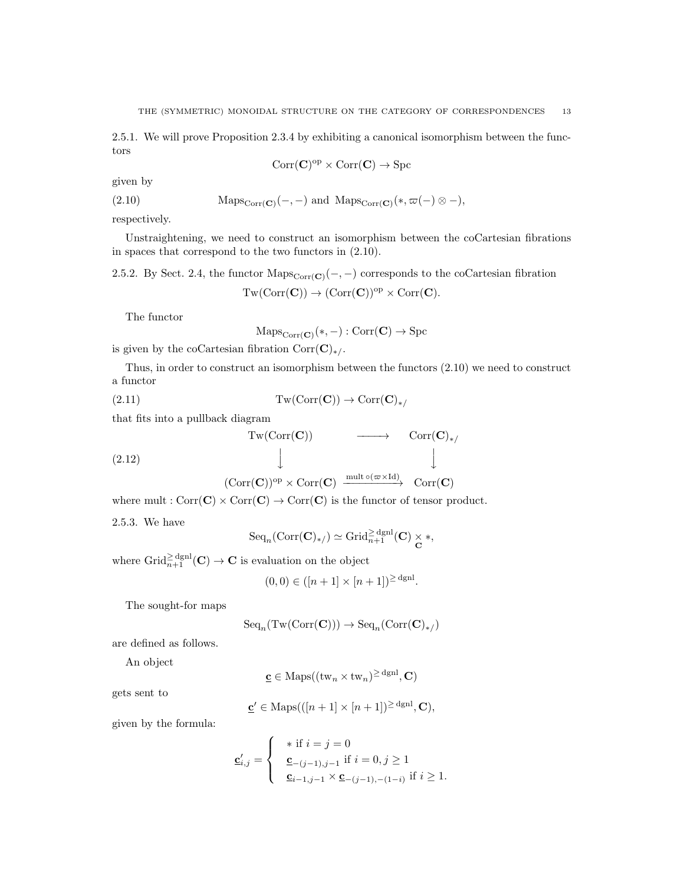2.5.1. We will prove Proposition 2.3.4 by exhibiting a canonical isomorphism between the functors

$$
\mathrm{Corr}(\mathbf{C})^{\mathrm{op}} \times \mathrm{Corr}(\mathbf{C}) \to \mathrm{Spc}
$$

given by

(2.10) 
$$
\text{Maps}_{\text{Corr}(\mathbf{C})}(-,-) \text{ and } \text{Maps}_{\text{Corr}(\mathbf{C})}(*,\varpi(-)\otimes -),
$$

respectively.

Unstraightening, we need to construct an isomorphism between the coCartesian fibrations in spaces that correspond to the two functors in (2.10).

2.5.2. By Sect. 2.4, the functor  $\text{Maps}_{\text{Corr}(\mathbf{C})}(-,-)$  corresponds to the coCartesian fibration

$$
Tw(Corr(\mathbf{C})) \to (Corr(\mathbf{C}))^{op} \times Corr(\mathbf{C}).
$$

The functor

$$
\mathrm{Maps}_{\mathrm{Corr}(\mathbf{C})}(*,-): \mathrm{Corr}(\mathbf{C}) \to \mathrm{Spc}
$$

is given by the coCartesian fibration  $Corr(\mathbf{C})_{*/}$ .

Thus, in order to construct an isomorphism between the functors (2.10) we need to construct a functor

(2.11) 
$$
Tw(Corr(C)) \to Corr(C)_{*/}
$$

that fits into a pullback diagram

$$
\begin{array}{ccc}\n\text{Tw}(\text{Corr}(\mathbf{C})) & \longrightarrow & \text{Corr}(\mathbf{C})_{*/} \\
\downarrow & & \downarrow \\
(\text{Corr}(\mathbf{C}))^{\text{op}} \times \text{Corr}(\mathbf{C}) & \xrightarrow{\text{mult } \text{o}(\varpi \times \text{Id})} & \text{Corr}(\mathbf{C})\n\end{array}
$$

where mult :  $Corr(C) \times Corr(C) \rightarrow Corr(C)$  is the functor of tensor product.

2.5.3. We have

$$
\mathrm{Seq}_n(\mathrm{Corr}(\mathbf{C})_{*/}) \simeq \mathrm{Grid}_{n+1}^{\ge \mathrm{dgnl}}(\mathbf{C}) \underset{\mathbf{C}}{\times} *,
$$

where  $\operatorname{Grid}_{n+1}^{\geq \operatorname{dgnl}}(\mathbf{C}) \to \mathbf{C}$  is evaluation on the object

$$
(0,0) \in ([n+1] \times [n+1])^{\ge \text{dgnl}}.
$$

The sought-for maps

$$
\mathrm{Seq}_n(\mathrm{Tw}(\mathrm{Corr}(\mathbf{C}))) \to \mathrm{Seq}_n(\mathrm{Corr}(\mathbf{C})_{\ast/})
$$

are defined as follows.

An object

 $\underline{\mathbf{c}} \in \mathrm{Maps}((\mathrm{tw}_{n} \times \mathrm{tw}_{n})^{\geq \mathrm{dgnl}}, \mathbf{C})$ 

gets sent to

$$
\underline{\mathbf{c}}' \in \text{Maps}(([n+1] \times [n+1])^{\geq dgn}, \mathbf{C}),
$$

given by the formula:

$$
\underline{\mathbf{c}}'_{i,j} = \begin{cases} & * \text{ if } i = j = 0 \\ & \underline{\mathbf{c}}_{-(j-1),j-1} \text{ if } i = 0, j \ge 1 \\ & \underline{\mathbf{c}}_{i-1,j-1} \times \underline{\mathbf{c}}_{-(j-1),-(1-i)} \text{ if } i \ge 1. \end{cases}
$$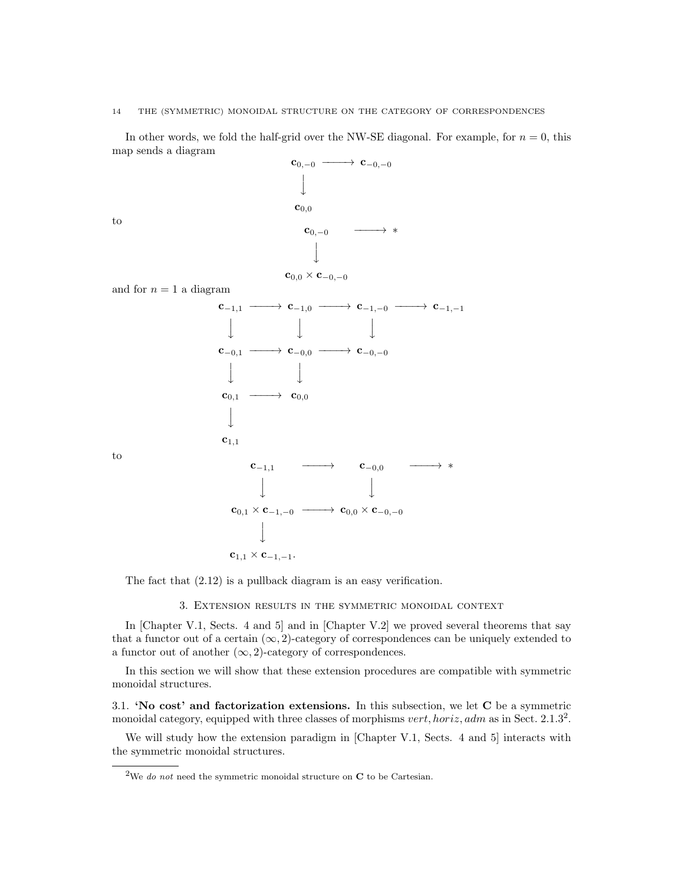### 14 THE (SYMMETRIC) MONOIDAL STRUCTURE ON THE CATEGORY OF CORRESPONDENCES

In other words, we fold the half-grid over the NW-SE diagonal. For example, for  $n = 0$ , this map sends a diagram



The fact that (2.12) is a pullback diagram is an easy verification.

3. Extension results in the symmetric monoidal context

In [Chapter V.1, Sects. 4 and 5] and in [Chapter V.2] we proved several theorems that say that a functor out of a certain  $(\infty, 2)$ -category of correspondences can be uniquely extended to a functor out of another  $(\infty, 2)$ -category of correspondences.

In this section we will show that these extension procedures are compatible with symmetric monoidal structures.

3.1. 'No cost' and factorization extensions. In this subsection, we let C be a symmetric monoidal category, equipped with three classes of morphisms  $vert, horiz, adm$  as in Sect. 2.1.3<sup>2</sup>.

We will study how the extension paradigm in [Chapter V.1, Sects. 4 and 5] interacts with the symmetric monoidal structures.

<sup>&</sup>lt;sup>2</sup>We do not need the symmetric monoidal structure on  $C$  to be Cartesian.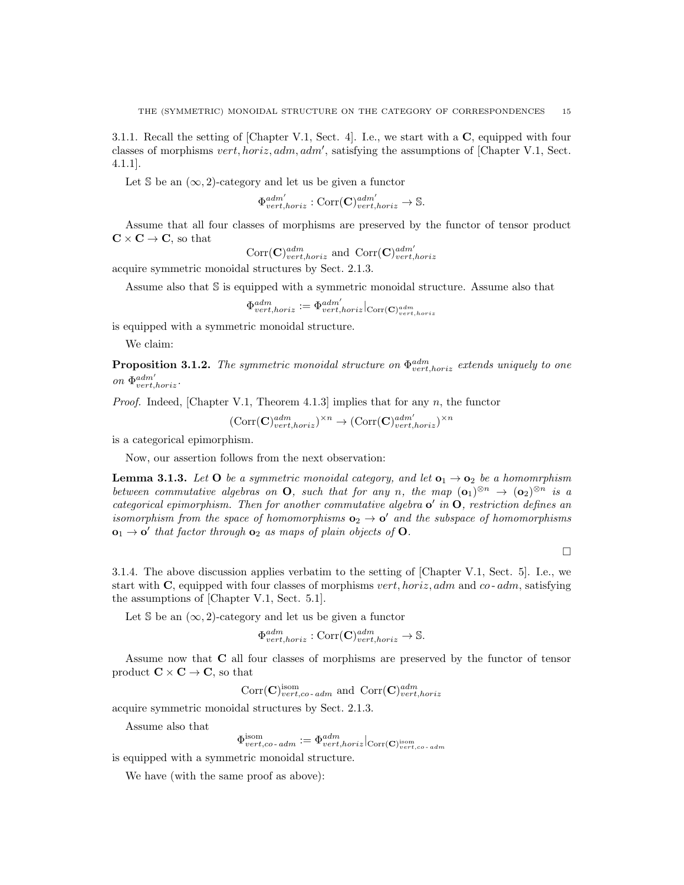3.1.1. Recall the setting of [Chapter V.1, Sect. 4]. I.e., we start with a C, equipped with four classes of morphisms  $vert, horiz, adm, adm',$  satisfying the assumptions of [Chapter V.1, Sect. 4.1.1].

Let S be an  $(\infty, 2)$ -category and let us be given a functor

$$
\Phi_{vert,horiz}^{adm'} : \text{Corr}(\mathbf{C})_{vert,horiz}^{adm'} \to \mathbb{S}.
$$

Assume that all four classes of morphisms are preserved by the functor of tensor product  $\mathbf{C} \times \mathbf{C} \to \mathbf{C}$ , so that

$$
\text{Corr}(\mathbf{C})^{adm}_{vert, horiz} \text{ and } \text{Corr}(\mathbf{C})^{adm'}_{vert, horiz}
$$

acquire symmetric monoidal structures by Sect. 2.1.3.

Assume also that S is equipped with a symmetric monoidal structure. Assume also that

$$
\Phi^{adm}_{vert,horiz} := \Phi^{adm'}_{vert,horiz}\big|_{\text{Corr}(\mathbf{C})^{adm}_{vert,horiz}}
$$

is equipped with a symmetric monoidal structure.

We claim:

**Proposition 3.1.2.** The symmetric monoidal structure on  $\Phi_{vert,horiz}^{adm}$  extends uniquely to one on  $\Phi_{vert,horiz}^{adm'}$ .

*Proof.* Indeed, [Chapter V.1, Theorem 4.1.3] implies that for any  $n$ , the functor

 $(\mathrm{Corr}(\mathbf{C})^{adm}_{vert,horiz})^{\times n} \rightarrow (\mathrm{Corr}(\mathbf{C})^{adm'}_{vert,horiz})^{\times n}$ 

is a categorical epimorphism.

Now, our assertion follows from the next observation:

**Lemma 3.1.3.** Let O be a symmetric monoidal category, and let  $o_1 \rightarrow o_2$  be a homomrphism between commutative algebras on **O**, such that for any n, the map  $(\mathbf{o}_1)^{\otimes n} \to (\mathbf{o}_2)^{\otimes n}$  is a categorical epimorphism. Then for another commutative algebra  $o'$  in  $O$ , restriction defines an isomorphism from the space of homomorphisms  $o_2 \rightarrow o'$  and the subspace of homomorphisms  $o_1 \rightarrow o'$  that factor through  $o_2$  as maps of plain objects of O.

 $\Box$ 

3.1.4. The above discussion applies verbatim to the setting of [Chapter V.1, Sect. 5]. I.e., we start with  $\bf{C}$ , equipped with four classes of morphisms vert, horiz, adm and co- adm, satisfying the assumptions of [Chapter V.1, Sect. 5.1].

Let S be an  $(\infty, 2)$ -category and let us be given a functor

$$
\Phi^{adm}_{vert,horiz} : \text{Corr}(\mathbf{C})^{adm}_{vert,horiz} \to \mathbb{S}.
$$

Assume now that C all four classes of morphisms are preserved by the functor of tensor product  $C \times C \rightarrow C$ , so that

 $Corr(\mathbf{C})_{vert,co-adm}^{isom}$  and  $Corr(\mathbf{C})_{vert,horiz}^{adm}$ 

acquire symmetric monoidal structures by Sect. 2.1.3.

Assume also that

$$
\Phi^{\rm isom}_{vert,co\text{-}\textit{adm}}:=\Phi^{adm}_{vert,horiz}\vert_{\rm Corr({\bf C})^{isom}_{vert,co\text{-}\textit{adm}}}
$$

is equipped with a symmetric monoidal structure.

We have (with the same proof as above):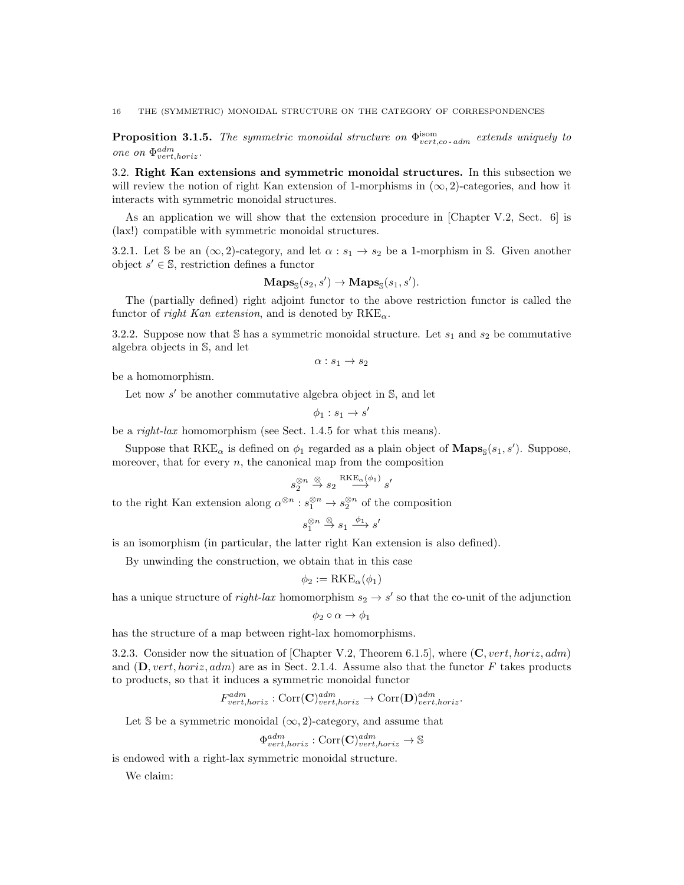**Proposition 3.1.5.** The symmetric monoidal structure on  $\Phi_{vert,co-adm}^{isom}$  extends uniquely to one on  $\Phi_{vert,horiz}^{adm}$ .

3.2. Right Kan extensions and symmetric monoidal structures. In this subsection we will review the notion of right Kan extension of 1-morphisms in  $(\infty, 2)$ -categories, and how it interacts with symmetric monoidal structures.

As an application we will show that the extension procedure in [Chapter V.2, Sect. 6] is (lax!) compatible with symmetric monoidal structures.

3.2.1. Let S be an  $(\infty, 2)$ -category, and let  $\alpha : s_1 \to s_2$  be a 1-morphism in S. Given another object  $s' \in \mathbb{S}$ , restriction defines a functor

$$
\mathbf{Maps}_{\mathbb{S}}(s_2, s') \to \mathbf{Maps}_{\mathbb{S}}(s_1, s').
$$

The (partially defined) right adjoint functor to the above restriction functor is called the functor of right Kan extension, and is denoted by  $RKE_{\alpha}$ .

3.2.2. Suppose now that S has a symmetric monoidal structure. Let  $s_1$  and  $s_2$  be commutative algebra objects in S, and let

$$
\alpha: s_1 \to s_2
$$

be a homomorphism.

Let now  $s'$  be another commutative algebra object in  $\mathbb{S}$ , and let

$$
\phi_1: s_1 \to s'
$$

be a right-lax homomorphism (see Sect. 1.4.5 for what this means).

Suppose that RKE<sub>α</sub> is defined on  $\phi_1$  regarded as a plain object of **Maps**<sub>S</sub> $(s_1, s')$ . Suppose, moreover, that for every  $n$ , the canonical map from the composition

$$
s_2^{\otimes n} \stackrel{\otimes}{\to} s_2 \stackrel{\mathrm{RKE}_\alpha(\phi_1)}{\longrightarrow} s'
$$

to the right Kan extension along  $\alpha^{\otimes n} : s_1^{\otimes n} \to s_2^{\otimes n}$  of the composition

$$
s_1^{\otimes n} \stackrel{\otimes}{\to} s_1 \stackrel{\phi_1}{\longrightarrow} s'
$$

is an isomorphism (in particular, the latter right Kan extension is also defined).

By unwinding the construction, we obtain that in this case

$$
\phi_2 := \text{RKE}_{\alpha}(\phi_1)
$$

has a unique structure of *right-lax* homomorphism  $s_2 \to s'$  so that the co-unit of the adjunction

$$
\phi_2\circ\alpha\to\phi_1
$$

has the structure of a map between right-lax homomorphisms.

3.2.3. Consider now the situation of [Chapter V.2, Theorem 6.1.5], where  $(C, vert, horiz, adm)$ and  $(D, vert, horiz, adm)$  are as in Sect. 2.1.4. Assume also that the functor F takes products to products, so that it induces a symmetric monoidal functor

$$
F_{vert,horiz}^{adm}: \text{Corr}(\mathbf{C})_{vert,horiz}^{adm} \to \text{Corr}(\mathbf{D})_{vert,loriz}^{adm}.
$$

Let S be a symmetric monoidal  $(\infty, 2)$ -category, and assume that

$$
\Phi^{adm}_{vert,horiz} : \text{Corr}(\mathbf{C})^{adm}_{vert,horiz} \to \mathbb{S}
$$

is endowed with a right-lax symmetric monoidal structure.

We claim: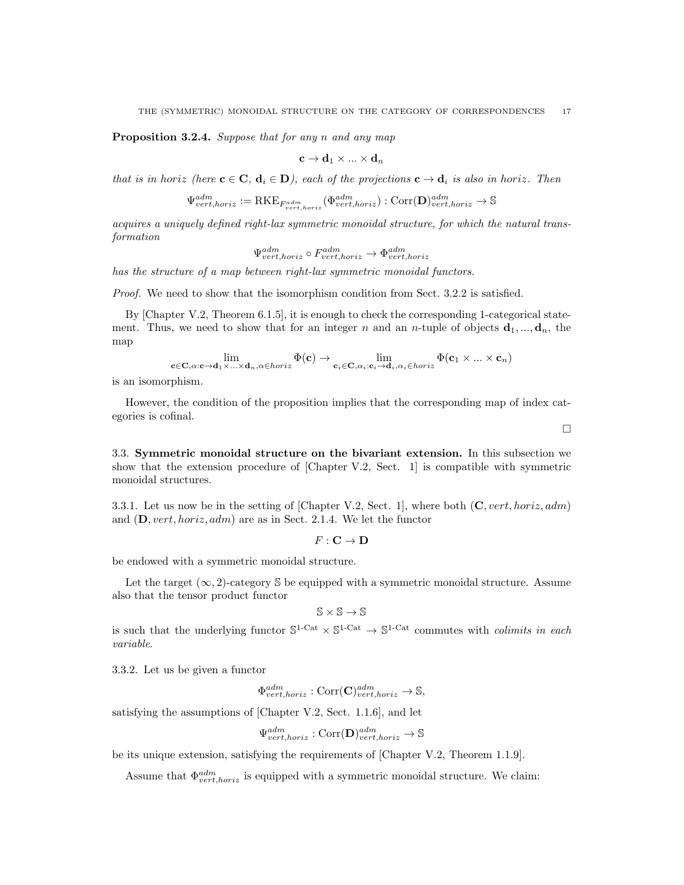Proposition 3.2.4. Suppose that for any n and any map

$$
\mathbf{c} \to \mathbf{d}_1 \times ... \times \mathbf{d}_n
$$

that is in horiz (here  $c \in C$ ,  $d_i \in D$ ), each of the projections  $c \to d_i$  is also in horiz. Then

$$
\Psi^{adm}_{vert, horiz} := {\rm RKE}_{F^{adm}_{vert, horiz}}(\Phi^{adm}_{vert, horiz}) : {\rm Corr}(\mathbf{D})^{adm}_{vert, horiz} \rightarrow \mathbb{S}
$$

acquires a uniquely defined right-lax symmetric monoidal structure, for which the natural transformation

$$
\Psi^{adm}_{vert,horiz} \circ F^{adm}_{vert,horiz} \to \Phi^{adm}_{vert,horiz}
$$

has the structure of a map between right-lax symmetric monoidal functors.

Proof. We need to show that the isomorphism condition from Sect. 3.2.2 is satisfied.

By [Chapter V.2, Theorem 6.1.5], it is enough to check the corresponding 1-categorical statement. Thus, we need to show that for an integer n and an n-tuple of objects  $\mathbf{d}_1, ..., \mathbf{d}_n$ , the map

$$
\lim_{\mathbf{c}\in\mathbf{C},\alpha:\mathbf{c}\to\mathbf{d}_1\times\ldots\times\mathbf{d}_n,\alpha\in horiz}\Phi(\mathbf{c})\to\lim_{\mathbf{c}_i\in\mathbf{C},\alpha_i:\mathbf{c}_i\to\mathbf{d}_i,\alpha_i\in horiz}\Phi(\mathbf{c}_1\times\ldots\times\mathbf{c}_n)
$$

is an isomorphism.

However, the condition of the proposition implies that the corresponding map of index categories is cofinal.

 $\Box$ 

3.3. Symmetric monoidal structure on the bivariant extension. In this subsection we show that the extension procedure of [Chapter V.2, Sect. 1] is compatible with symmetric monoidal structures.

3.3.1. Let us now be in the setting of [Chapter V.2, Sect. 1], where both  $(C, vert, horiz, adm)$ and  $(D, vert, horiz, adm)$  are as in Sect. 2.1.4. We let the functor

 $F: \mathbf{C} \to \mathbf{D}$ 

be endowed with a symmetric monoidal structure.

Let the target  $(\infty, 2)$ -category S be equipped with a symmetric monoidal structure. Assume also that the tensor product functor

$$
\mathbb{S}\times\mathbb{S}\to\mathbb{S}
$$

is such that the underlying functor  $S^{1-Cat} \times S^{1-Cat} \to S^{1-Cat}$  commutes with *colimits in each* variable.

3.3.2. Let us be given a functor

$$
\Phi^{adm}_{vert,horiz} : \text{Corr}(\mathbf{C})^{adm}_{vert,horiz} \to \mathbb{S},
$$

satisfying the assumptions of [Chapter V.2, Sect. 1.1.6], and let

$$
\Psi^{adm}_{vert,horiz} : \text{Corr}(\mathbf{D})^{adm}_{vert,horiz} \to \mathbb{S}
$$

be its unique extension, satisfying the requirements of [Chapter V.2, Theorem 1.1.9].

Assume that  $\Phi_{vert,horiz}^{adm}$  is equipped with a symmetric monoidal structure. We claim: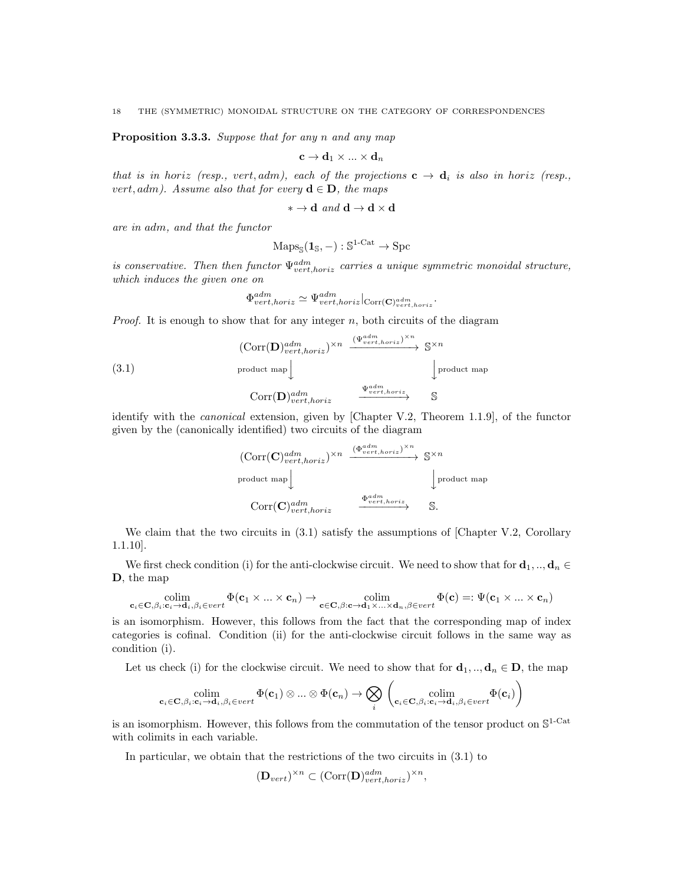Proposition 3.3.3. Suppose that for any n and any map

$$
\mathbf{c} \to \mathbf{d}_1 \times ... \times \mathbf{d}_n
$$

that is in horiz (resp., vert, adm), each of the projections  $c \to d_i$  is also in horiz (resp., vert, adm). Assume also that for every  $\mathbf{d} \in \mathbf{D}$ , the maps

$$
* \to \mathbf{d} \text{ and } \mathbf{d} \to \mathbf{d} \times \mathbf{d}
$$

are in adm, and that the functor

$$
\mathrm{Maps}_{\mathbb{S}}(\mathbf{1}_{\mathbb{S}}, -): \mathbb{S}^{1\text{-}\mathrm{Cat}} \to \mathrm{Spc}
$$

is conservative. Then then functor  $\Psi^{adm}_{vert, boriz}$  carries a unique symmetric monoidal structure, which induces the given one on

$$
\Phi^{adm}_{vert,horiz} \simeq \Psi^{adm}_{vert,horiz}|_{\text{Corr}(\mathbf{C})^{adm}_{vert,horiz}}
$$

.

*Proof.* It is enough to show that for any integer  $n$ , both circuits of the diagram

(3.1)  
\n
$$
\begin{array}{ccc}\n \text{(Corr}(\mathbf{D})^{adm}_{vert,horiz})^{\times n} & \xrightarrow{(\Psi^{adm}_{vert,horiz})^{\times n}} & \mathbb{S}^{\times n} \\
 \text{product map} & & \downarrow\n \end{array}
$$
\n
$$
\begin{array}{ccc}\n \text{Corr}(\mathbf{D})^{adm}_{vert,horiz} & \xrightarrow{\Psi^{adm}_{vert,horiz}} & \mathbb{S} \\
 \end{array}
$$

identify with the canonical extension, given by [Chapter V.2, Theorem 1.1.9], of the functor given by the (canonically identified) two circuits of the diagram

$$
\begin{array}{ccc}\n(\text{Corr}(\mathbf{C})^{adm}_{vert,horiz})^{\times n} & \xrightarrow{(\Phi^{adm}_{vert,horiz})^{\times n}} \mathbb{S}^{\times n} \\
\text{product map} & & \downarrow \\
& & \downarrow \\
& & \downarrow \\
& & \text{Corr}(\mathbf{C})^{adm}_{vert,horiz} & \xrightarrow{\Phi^{adm}_{vert,horiz}} \mathbb{S}.\n\end{array}
$$

We claim that the two circuits in  $(3.1)$  satisfy the assumptions of [Chapter V.2, Corollary 1.1.10].

We first check condition (i) for the anti-clockwise circuit. We need to show that for  $\mathbf{d}_1, \dots, \mathbf{d}_n \in$ D, the map

$$
\underset{\mathbf{c}_{i} \in \mathbf{C}, \beta_{i}: \mathbf{c}_{i} \to \mathbf{d}_{i}, \beta_{i} \in vert}{\text{colim}} \Phi(\mathbf{c}_{1} \times ... \times \mathbf{c}_{n}) \to \underset{\mathbf{c} \in \mathbf{C}, \beta: \mathbf{c} \to \mathbf{d}_{1} \times ... \times \mathbf{d}_{n}, \beta \in vert}{\text{colim}} \Phi(\mathbf{c}) =: \Psi(\mathbf{c}_{1} \times ... \times \mathbf{c}_{n})
$$

is an isomorphism. However, this follows from the fact that the corresponding map of index categories is cofinal. Condition (ii) for the anti-clockwise circuit follows in the same way as condition (i).

Let us check (i) for the clockwise circuit. We need to show that for  $\mathbf{d}_1, \dots, \mathbf{d}_n \in \mathbf{D}$ , the map

$$
\underset{\mathbf{c}_i \in \mathbf{C}, \beta_i : \mathbf{c}_i \to \mathbf{d}_i, \beta_i \in vert}{\text{colim}} \Phi(\mathbf{c}_1) \otimes ... \otimes \Phi(\mathbf{c}_n) \to \bigotimes_i \left( \underset{\mathbf{c}_i \in \mathbf{C}, \beta_i : \mathbf{c}_i \to \mathbf{d}_i, \beta_i \in vert}{\text{colim}} \Phi(\mathbf{c}_i) \right)
$$

is an isomorphism. However, this follows from the commutation of the tensor product on  $\mathbb{S}^{1-\text{Cat}}$ with colimits in each variable.

In particular, we obtain that the restrictions of the two circuits in (3.1) to

$$
(\mathbf{D}_{vert})^{\times n} \subset (\text{Corr}(\mathbf{D})_{vert, horiz}^{adm})^{\times n},
$$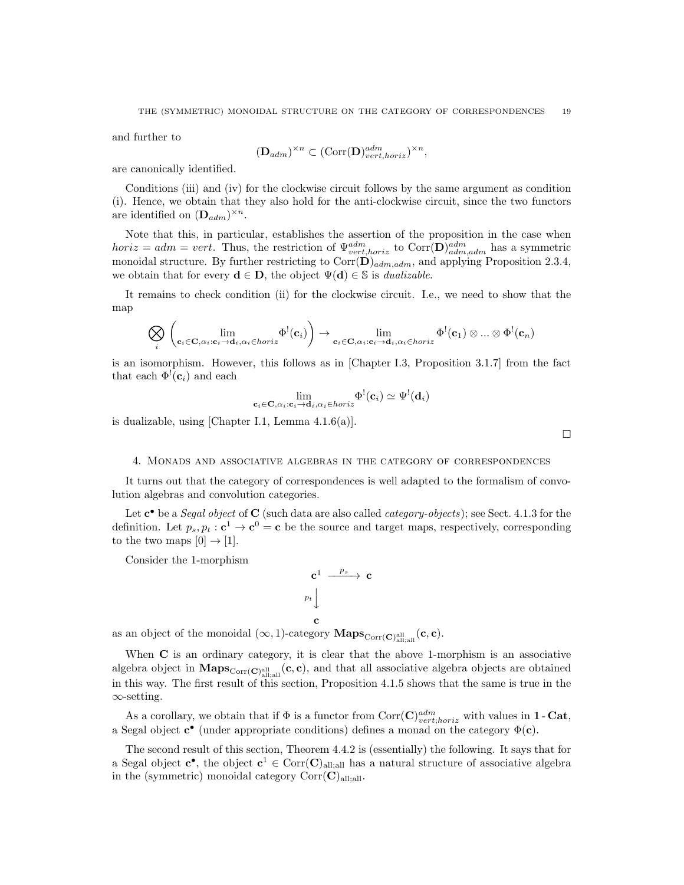and further to

$$
(\mathbf{D}_{adm})^{\times n} \subset (\text{Corr}(\mathbf{D})^{adm}_{vert, horiz})^{\times n},
$$

are canonically identified.

Conditions (iii) and (iv) for the clockwise circuit follows by the same argument as condition (i). Hence, we obtain that they also hold for the anti-clockwise circuit, since the two functors are identified on  $(D_{adm})^{\times n}$ .

Note that this, in particular, establishes the assertion of the proposition in the case when  $horiz = adm = vert.$  Thus, the restriction of  $\Psi^{adm}_{vert, horiz}$  to  $Corr(\mathbf{D})^{adm}_{adm,adm}$  has a symmetric monoidal structure. By further restricting to  $Corr(\mathbf{D})_{adm,adm}$ , and applying Proposition 2.3.4, we obtain that for every  $\mathbf{d} \in \mathbf{D}$ , the object  $\Psi(\mathbf{d}) \in \mathbb{S}$  is *dualizable*.

It remains to check condition (ii) for the clockwise circuit. I.e., we need to show that the map

$$
\bigotimes_i \left( \lim_{\mathbf{c}_i \in \mathbf{C}, \alpha_i : \mathbf{c}_i \to \mathbf{d}_i, \alpha_i \in horiz} \Phi^!(\mathbf{c}_i) \right) \to \lim_{\mathbf{c}_i \in \mathbf{C}, \alpha_i : \mathbf{c}_i \to \mathbf{d}_i, \alpha_i \in horiz} \Phi^!(\mathbf{c}_1) \otimes ... \otimes \Phi^!(\mathbf{c}_n)
$$

is an isomorphism. However, this follows as in [Chapter I.3, Proposition 3.1.7] from the fact that each  $\Phi^!(c_i)$  and each

$$
\lim_{\mathbf{c}_i \in \mathbf{C}, \alpha_i : \mathbf{c}_i \to \mathbf{d}_i, \alpha_i \in \text{horiz}} \Phi^! (\mathbf{c}_i) \simeq \Psi^! (\mathbf{d}_i)
$$

 $\Box$ 

is dualizable, using [Chapter I.1, Lemma 4.1.6(a)].

## 4. Monads and associative algebras in the category of correspondences

It turns out that the category of correspondences is well adapted to the formalism of convolution algebras and convolution categories.

Let  $\mathbf{c}^{\bullet}$  be a *Segal object* of  $\mathbf{C}$  (such data are also called *category-objects*); see Sect. 4.1.3 for the definition. Let  $p_s, p_t : \mathbf{c}^1 \to \mathbf{c}^0 = \mathbf{c}$  be the source and target maps, respectively, corresponding to the two maps  $[0] \rightarrow [1]$ .

 $\mathbf c$ 

Consider the 1-morphism

$$
\begin{array}{ccc}\n\mathbf{c}^1 & \xrightarrow{\ p_s } & \\
p_t & & \\
\mathbf{c} & & \n\end{array}
$$

as an object of the monoidal  $(\infty, 1)$ -category  $\mathbf{Maps}_{\mathrm{Corr}(\mathbf{C})_{\text{all};\text{all}}}(\mathbf{c}, \mathbf{c})$ .

When C is an ordinary category, it is clear that the above 1-morphism is an associative algebra object in  $\text{Maps}_{\text{Corr}(\mathbf{C})_{\text{all;all}}}(\mathbf{c}, \mathbf{c})$ , and that all associative algebra objects are obtained in this way. The first result of this section, Proposition 4.1.5 shows that the same is true in the ∞-setting.

As a corollary, we obtain that if  $\Phi$  is a functor from  $Corr(\mathbf{C})^{adm}_{vert, horiz}$  with values in 1 - Cat, a Segal object  $c^{\bullet}$  (under appropriate conditions) defines a monad on the category  $\Phi(c)$ .

The second result of this section, Theorem 4.4.2 is (essentially) the following. It says that for a Segal object  $c^{\bullet}$ , the object  $c^1 \in \text{Corr}(\mathbf{C})_{\text{all;all}}$  has a natural structure of associative algebra in the (symmetric) monoidal category  $Corr(C)_{\text{all:all}}$ .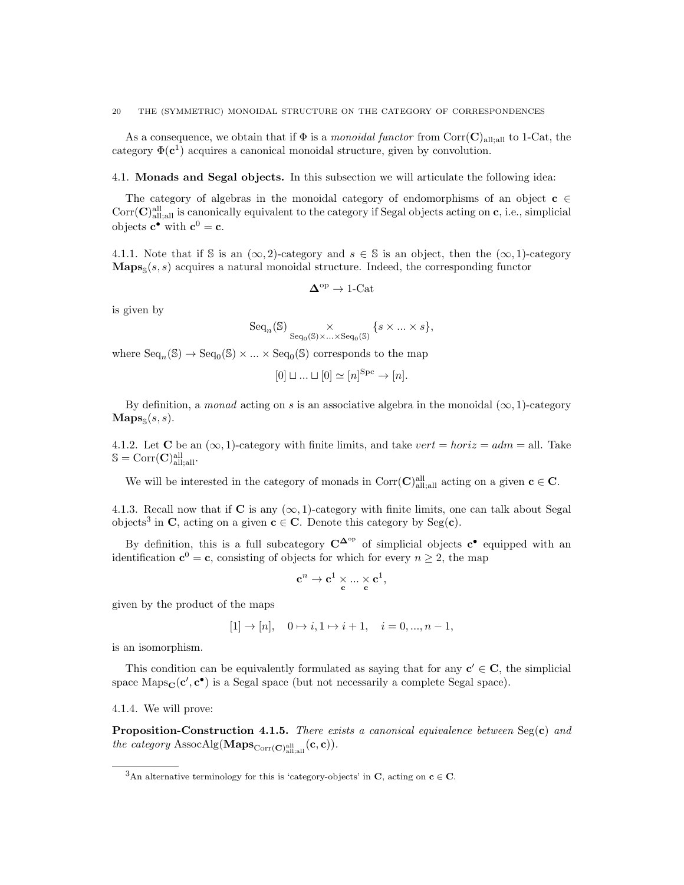As a consequence, we obtain that if  $\Phi$  is a monoidal functor from Corr(C)<sub>all;all</sub> to 1-Cat, the category  $\Phi(\mathbf{c}^1)$  acquires a canonical monoidal structure, given by convolution.

## 4.1. Monads and Segal objects. In this subsection we will articulate the following idea:

The category of algebras in the monoidal category of endomorphisms of an object  $c \in \mathcal{L}$  $Corr(\mathbf{C})_{\text{all,all}}^{\text{all}}$  is canonically equivalent to the category if Segal objects acting on  $\mathbf{c}$ , i.e., simplicial objects  $\mathbf{c}^{\bullet}$  with  $\mathbf{c}^0 = \mathbf{c}$ .

4.1.1. Note that if S is an  $(\infty, 2)$ -category and  $s \in \mathbb{S}$  is an object, then the  $(\infty, 1)$ -category  $\mathbf{Maps}_{\mathbb{S}}(s, s)$  acquires a natural monoidal structure. Indeed, the corresponding functor

$$
\Delta^{\rm op}\to{\rm 1\text{-}Cat}
$$

is given by

$$
\mathrm{Seq}_n(\mathbb{S}) \underset{\mathrm{Seq}_0(\mathbb{S})\times\ldots\times \mathrm{Seq}_0(\mathbb{S})}{\times} \{s\times\ldots\times s\},
$$

where  $\text{Seq}_n(\mathbb{S}) \to \text{Seq}_0(\mathbb{S}) \times ... \times \text{Seq}_0(\mathbb{S})$  corresponds to the map

$$
[0] \sqcup \ldots \sqcup [0] \simeq [n]^{\mathrm{Spc}} \to [n].
$$

By definition, a monad acting on s is an associative algebra in the monoidal  $(\infty, 1)$ -category  $\mathbf{Maps}_{\mathbb{S}}(s,s).$ 

4.1.2. Let **C** be an  $(\infty, 1)$ -category with finite limits, and take vert = horiz = adm = all. Take  $\mathbb{S} = \text{Corr}(\mathbf{C})^{\text{all}}_{\text{all;all}}.$ 

We will be interested in the category of monads in  $Corr(C)_{\text{all;all}}^{\text{all}}$  acting on a given  $c \in C$ .

4.1.3. Recall now that if C is any  $(\infty, 1)$ -category with finite limits, one can talk about Segal objects<sup>3</sup> in C, acting on a given  $c \in C$ . Denote this category by Seg(c).

By definition, this is a full subcategory  $C^{\Delta^{op}}$  of simplicial objects  $c^{\bullet}$  equipped with an identification  $\mathbf{c}^0 = \mathbf{c}$ , consisting of objects for which for every  $n \geq 2$ , the map

$$
\mathbf{c}^n \rightarrow \mathbf{c}^1 \times \ldots \times \mathbf{c}^1,
$$

given by the product of the maps

$$
[1] \rightarrow [n], \quad 0 \mapsto i, 1 \mapsto i+1, \quad i = 0, ..., n-1,
$$

is an isomorphism.

This condition can be equivalently formulated as saying that for any  $c' \in C$ , the simplicial space  $\text{Maps}_{\mathbf{C}}(\mathbf{c}', \mathbf{c}^{\bullet})$  is a Segal space (but not necessarily a complete Segal space).

4.1.4. We will prove:

Proposition-Construction 4.1.5. There exists a canonical equivalence between Seg(c) and the category  $\text{AssocAlg}(\mathbf{Maps}_{\text{Corr}(\mathbf{C})_{\text{all},\text{all}}}(\mathbf{c},\mathbf{c}))$ .

<sup>&</sup>lt;sup>3</sup>An alternative terminology for this is 'category-objects' in **C**, acting on **c**  $\in$  **C**.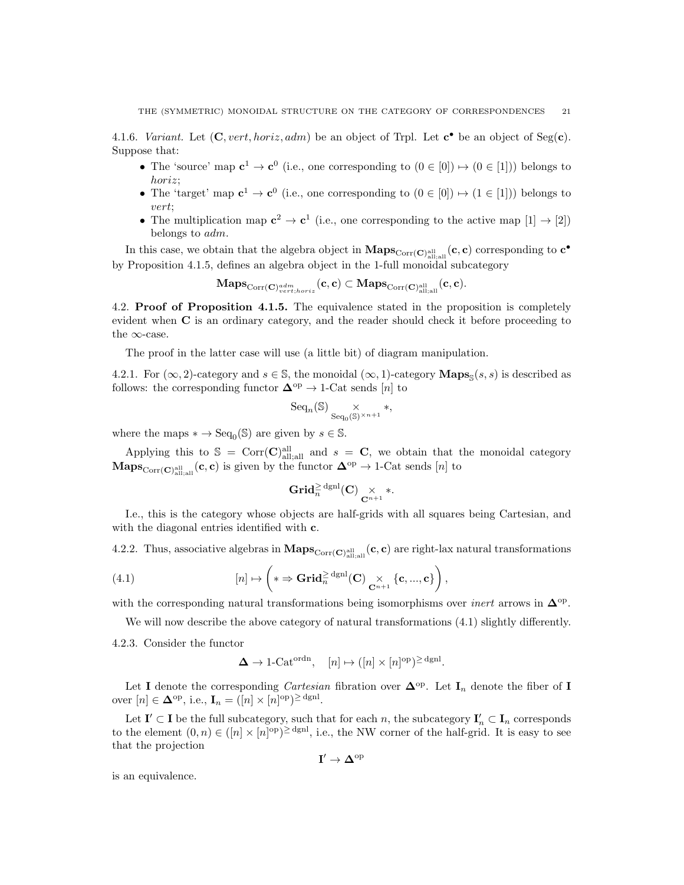4.1.6. Variant. Let  $(C, vert, horiz, adm)$  be an object of Trpl. Let  $c^{\bullet}$  be an object of Seg(c). Suppose that:

- The 'source' map  $c^1 \to c^0$  (i.e., one corresponding to  $(0 \in [0]) \mapsto (0 \in [1])$ ) belongs to horiz;
- The 'target' map  $c^1 \to c^0$  (i.e., one corresponding to  $(0 \in [0]) \mapsto (1 \in [1])$ ) belongs to vert;
- The multiplication map  $c^2 \to c^1$  (i.e., one corresponding to the active map  $[1] \to [2]$ ) belongs to adm.

In this case, we obtain that the algebra object in  $\mathbf{Maps}_{\mathrm{Corr}(\mathbf{C})_{\mathrm{all;all}}^{\mathrm{all}}}(\mathbf{c}, \mathbf{c})$  corresponding to  $\mathbf{c}^{\bullet}$ by Proposition 4.1.5, defines an algebra object in the 1-full monoidal subcategory

 $\mathrm{Maps}_{\mathrm{Corr}(\mathbf{C})^{adm}_{vert,horiz}}(\mathbf{c}, \mathbf{c}) \subset \mathrm{Maps}_{\mathrm{Corr}(\mathbf{C})^{\mathrm{all}}_{\mathrm{all};\mathrm{all}} }(\mathbf{c}, \mathbf{c}).$ 

4.2. Proof of Proposition 4.1.5. The equivalence stated in the proposition is completely evident when C is an ordinary category, and the reader should check it before proceeding to the  $\infty$ -case.

The proof in the latter case will use (a little bit) of diagram manipulation.

4.2.1. For  $(\infty, 2)$ -category and  $s \in \mathbb{S}$ , the monoidal  $(\infty, 1)$ -category  $\mathbf{Maps}_{\mathbb{S}}(s, s)$  is described as follows: the corresponding functor  $\Delta^{\text{op}} \to 1$ -Cat sends [n] to

$$
\mathrm{Seq}_n(\mathbb{S}) \underset{\mathrm{Seq}_0(\mathbb{S})^{\times n+1}}{\times} *,
$$

where the maps  $* \to \text{Seq}_0(\mathbb{S})$  are given by  $s \in \mathbb{S}$ .

Applying this to  $\mathcal{S} = \text{Corr}(\mathbf{C})^{\text{all}}_{\text{all,all}}$  and  $s = \mathbf{C}$ , we obtain that the monoidal category  $\mathbf{Maps}_{\mathrm{Corr}(\mathbf{C})_{\text{all},\text{all}}}(\mathbf{c}, \mathbf{c})$  is given by the functor  $\mathbf{\Delta}^{\mathrm{op}} \to 1$ -Cat sends  $[n]$  to

$$
\mathbf{Grid}_{n}^{\geq \mathrm{dgnl}}(C) \underset{\mathbf{C}^{n+1}}{\times} *.
$$

I.e., this is the category whose objects are half-grids with all squares being Cartesian, and with the diagonal entries identified with **c**.

4.2.2. Thus, associative algebras in  $\mathbf{Maps}_{\mathrm{Corr}(\mathbf{C})_{\mathrm{all},\mathrm{all}}}(\mathbf{c},\mathbf{c})$  are right-lax natural transformations

(4.1) 
$$
[n] \mapsto \left( * \Rightarrow \mathbf{Grid}_{n}^{\geq} \mathrm{dgl}(C) \underset{\mathbf{C}^{n+1}}{\times} \{\mathbf{c},...,\mathbf{c}\} \right),
$$

with the corresponding natural transformations being isomorphisms over *inert* arrows in  $\Delta^{\rm op}$ .

We will now describe the above category of natural transformations  $(4.1)$  slightly differently.

4.2.3. Consider the functor

$$
\Delta \to 1\text{-}\mathrm{Cat}^{\mathrm{ordn}}, \quad [n] \mapsto ([n] \times [n]^{\mathrm{op}})^{\geq \mathrm{dgnl}}.
$$

Let I denote the corresponding *Cartesian* fibration over  $\Delta^{\text{op}}$ . Let I<sub>n</sub> denote the fiber of I over  $[n] \in \mathbf{\Delta}^{\text{op}}, \text{ i.e., } \mathbf{I}_n = ([n] \times [n]^{\text{op}})^{\geq \text{dgnl}}.$ 

Let  $I' \subset I$  be the full subcategory, such that for each n, the subcategory  $I'_n \subset I_n$  corresponds to the element  $(0, n) \in (n] \times [n]^{op} \geq^{\text{dgnl}}$ , i.e., the NW corner of the half-grid. It is easy to see that the projection

$$
I' \to \Delta^{\rm op}
$$

is an equivalence.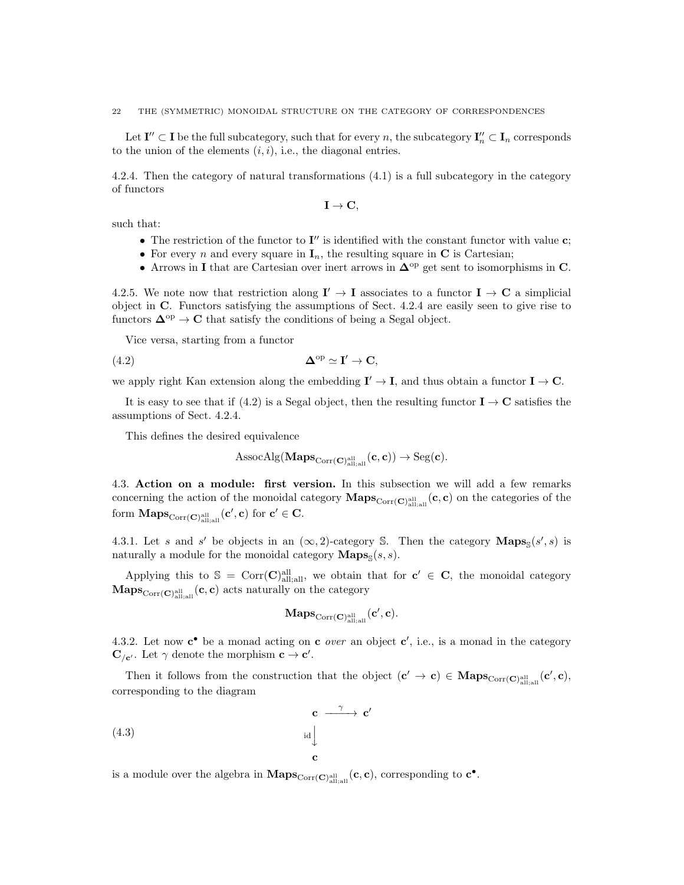22 THE (SYMMETRIC) MONOIDAL STRUCTURE ON THE CATEGORY OF CORRESPONDENCES

Let  $I'' \subset I$  be the full subcategory, such that for every n, the subcategory  $I''_n \subset I_n$  corresponds to the union of the elements  $(i, i)$ , i.e., the diagonal entries.

4.2.4. Then the category of natural transformations (4.1) is a full subcategory in the category of functors

$$
\mathbf{I}\rightarrow\mathbf{C},
$$

such that:

- The restriction of the functor to  $\mathbf{I}''$  is identified with the constant functor with value  $\mathbf{c}$ ;
- For every *n* and every square in  $\mathbf{I}_n$ , the resulting square in **C** is Cartesian;
- Arrows in I that are Cartesian over inert arrows in  $\Delta^{\text{op}}$  get sent to isomorphisms in C.

4.2.5. We note now that restriction along  $I' \to I$  associates to a functor  $I \to C$  a simplicial object in C. Functors satisfying the assumptions of Sect. 4.2.4 are easily seen to give rise to functors  $\mathbf{\Delta}^{\text{op}} \to \mathbf{C}$  that satisfy the conditions of being a Segal object.

Vice versa, starting from a functor

$$
\mathbf{\Delta}^{\mathrm{op}} \simeq \mathbf{I}' \to \mathbf{C},
$$

we apply right Kan extension along the embedding  $I' \to I$ , and thus obtain a functor  $I \to C$ .

It is easy to see that if (4.2) is a Segal object, then the resulting functor  $I \rightarrow \mathbf{C}$  satisfies the assumptions of Sect. 4.2.4.

This defines the desired equivalence

$$
\mathrm{AssocAlg}(\mathbf{Maps}_{\mathrm{Corr}(\mathbf{C})_{\mathrm{all,all}}^{\mathrm{all}}}(\mathbf{c},\mathbf{c})) \rightarrow \mathrm{Seg}(\mathbf{c}).
$$

4.3. Action on a module: first version. In this subsection we will add a few remarks concerning the action of the monoidal category  $\mathbf{Maps}_{\mathrm{Corr}(\mathbf{C})_{\mathrm{all;all}}^{all}}(\mathbf{c}, \mathbf{c})$  on the categories of the form  $\mathbf{Maps}_{\mathrm{Corr}(\mathbf{C})^\mathrm{all}_{\mathrm{all;all}}}(\mathbf{c}', \mathbf{c})$  for  $\mathbf{c}' \in \mathbf{C}$ .

4.3.1. Let s and s' be objects in an  $(\infty, 2)$ -category S. Then the category  $\mathbf{Maps}_{\mathbb{S}}(s', s)$  is naturally a module for the monoidal category  $\mathbf{Maps}_{\mathbb{S}}(s, s)$ .

Applying this to  $\mathcal{S} = \text{Corr}(\mathbf{C})^{\text{all}}_{\text{all},\text{all}}$ , we obtain that for  $\mathbf{c}' \in \mathbf{C}$ , the monoidal category  $\mathbf{Maps}_{\mathrm{Corr}(\mathbf{C})_{\text{all;all}}^{ \text{all}}}(\mathbf{c}, \mathbf{c})$  acts naturally on the category

$$
\mathbf{Maps}_{\mathrm{Corr}(\mathbf{C})^{\mathrm{all}}_{\mathrm{all},\mathrm{all}}}(\mathbf{c}', \mathbf{c}).
$$

4.3.2. Let now  $c^{\bullet}$  be a monad acting on  $c$  *over* an object  $c'$ , i.e., is a monad in the category  $\mathbf{C}_{/\mathbf{c}'}$ . Let  $\gamma$  denote the morphism  $\mathbf{c} \to \mathbf{c}'$ .

Then it follows from the construction that the object  $(c' \to c) \in \text{Maps}_{Corr(C)_{all;all}^{\text{all}}}(c', c)$ , corresponding to the diagram

(4.3)  $c \longrightarrow c'$  $id$ <sub> $\downarrow$ </sub> c

is a module over the algebra in  $\mathbf{Maps}_{\mathrm{Corr}(\mathbf{C})_{\text{all;all}}^{\text{all}}}(\mathbf{c}, \mathbf{c})$ , corresponding to  $\mathbf{c}^{\bullet}$ .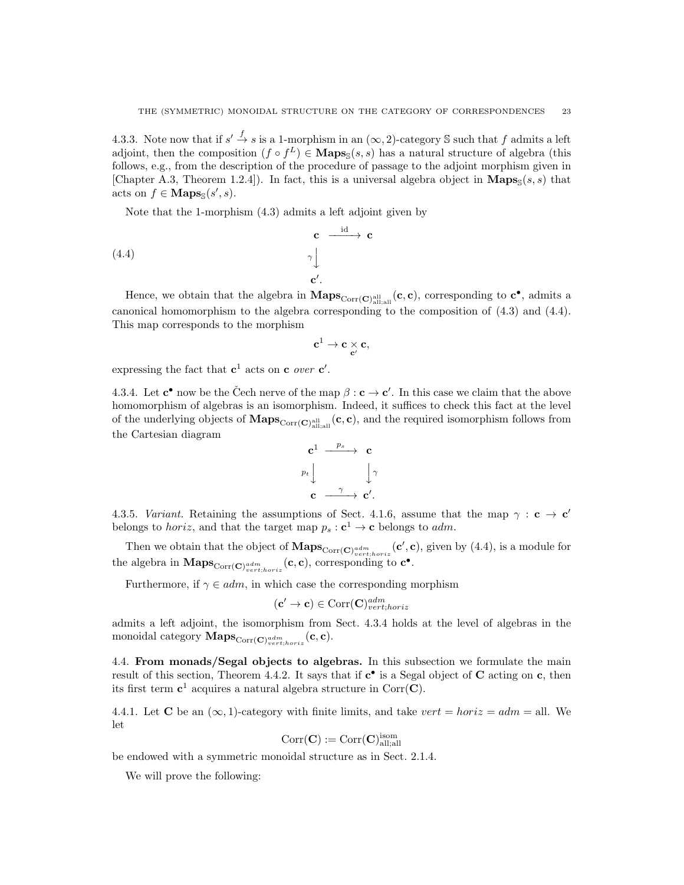4.3.3. Note now that if  $s' \stackrel{f}{\to} s$  is a 1-morphism in an  $(\infty, 2)$ -category S such that f admits a left adjoint, then the composition  $(f \circ f^L) \in \mathbf{Maps}_{\mathbb{S}}(s, s)$  has a natural structure of algebra (this follows, e.g., from the description of the procedure of passage to the adjoint morphism given in [Chapter A.3, Theorem 1.2.4]). In fact, this is a universal algebra object in  $\mathbf{Maps}_{\mathbb{S}}(s,s)$  that acts on  $f \in \mathbf{Maps}_{\mathbb{S}}(s', s)$ .

Note that the 1-morphism (4.3) admits a left adjoint given by

(4.4) 
$$
\mathbf{c} \xrightarrow{\text{id}} \mathbf{c}
$$

$$
\gamma \downarrow \qquad \gamma'
$$

$$
\mathbf{c}'.
$$

Hence, we obtain that the algebra in  $Maps_{Corr(C)_{\text{all;all}}} (c, c)$ , corresponding to  $c^{\bullet}$ , admits a canonical homomorphism to the algebra corresponding to the composition of (4.3) and (4.4). This map corresponds to the morphism

$$
\mathbf{c}^1 \to \mathbf{c} \mathop{\times}_{\mathbf{c}'} \mathbf{c},
$$

expressing the fact that  $c^1$  acts on c *over*  $c'$ .

4.3.4. Let  $\mathbf{c}^{\bullet}$  now be the Čech nerve of the map  $\beta : \mathbf{c} \to \mathbf{c}'$ . In this case we claim that the above homomorphism of algebras is an isomorphism. Indeed, it suffices to check this fact at the level of the underlying objects of  $\bf{Maps}_{Corr(C)^{all}_{all;all}}(c, c)$ , and the required isomorphism follows from the Cartesian diagram



4.3.5. Variant. Retaining the assumptions of Sect. 4.1.6, assume that the map  $\gamma : \mathbf{c} \to \mathbf{c}'$ belongs to *horiz*, and that the target map  $p_s : \mathbf{c}^1 \to \mathbf{c}$  belongs to *adm*.

Then we obtain that the object of  $\mathbf{Maps}_{Corr(\mathbf{C})_{vert}^{adm}(\mathbf{C}', \mathbf{C})}$ , given by (4.4), is a module for the algebra in  $\mathbf{Maps}_{\mathrm{Corr}(\mathbf{C})_{vert,horiz}}(\mathbf{c}, \mathbf{c})$ , corresponding to  $\mathbf{c}^{\bullet}$ .

Furthermore, if  $\gamma \in adm$ , in which case the corresponding morphism

$$
(\mathbf{c}' \to \mathbf{c}) \in \mathrm{Corr}(\mathbf{C})^{adm}_{vert;horiz}
$$

admits a left adjoint, the isomorphism from Sect. 4.3.4 holds at the level of algebras in the monoidal category MapsCorr(C) adm vert;horiz (c, c).

4.4. From monads/Segal objects to algebras. In this subsection we formulate the main result of this section, Theorem 4.4.2. It says that if  $c^{\bullet}$  is a Segal object of C acting on c, then its first term  $c^1$  acquires a natural algebra structure in Corr $(C)$ .

4.4.1. Let **C** be an  $(\infty, 1)$ -category with finite limits, and take vert = horiz = adm = all. We let

$$
\mathrm{Corr}(\mathbf{C}):=\mathrm{Corr}(\mathbf{C})_{\mathrm{all;all}}^{\mathrm{isom}}
$$

be endowed with a symmetric monoidal structure as in Sect. 2.1.4.

We will prove the following: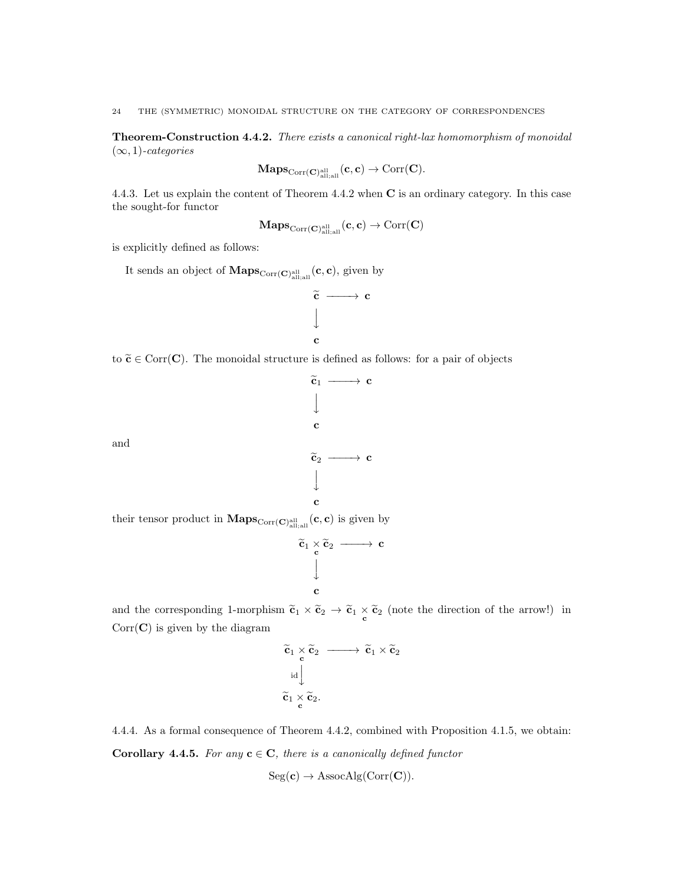24 THE (SYMMETRIC) MONOIDAL STRUCTURE ON THE CATEGORY OF CORRESPONDENCES

Theorem-Construction 4.4.2. There exists a canonical right-lax homomorphism of monoidal  $(\infty, 1)$ -categories

$$
\mathbf{Maps}_{\mathrm{Corr}(\mathbf{C})^{\mathrm{all}}_{\mathrm{all};\mathrm{all}}}(\mathbf{c},\mathbf{c})\to\mathrm{Corr}(\mathbf{C}).
$$

4.4.3. Let us explain the content of Theorem 4.4.2 when C is an ordinary category. In this case the sought-for functor

 $\mathbf{Maps}_{\mathrm{Corr}(\mathbf{C})^\mathrm{all}_\mathrm{all,all}}(\mathbf{c}, \mathbf{c}) \to \mathrm{Corr}(\mathbf{C})$ 

is explicitly defined as follows:

It sends an object of  $\mathbf{Maps}_{\mathrm{Corr}(\mathbf{C})_{\text{all;all}}^{\text{all}}}(\mathbf{c}, \mathbf{c})$ , given by



to  $\tilde{\mathbf{c}} \in \text{Corr}(\mathbf{C})$ . The monoidal structure is defined as follows: for a pair of objects



and the corresponding 1-morphism  $\tilde{c}_1 \times \tilde{c}_2 \to \tilde{c}_1 \times \tilde{c}_2$  (note the direction of the arrow!) in  $Corr(\mathbf{C})$  is given by the diagram

c

$$
\begin{array}{l} \widetilde{\mathbf{c}}_1 \times \widetilde{\mathbf{c}}_2 \longrightarrow \widetilde{\mathbf{c}}_1 \times \widetilde{\mathbf{c}}_2 \\ \downarrow \mathrm{~d} \\ \widetilde{\mathbf{c}}_1 \times \widetilde{\mathbf{c}}_2. \end{array}
$$

4.4.4. As a formal consequence of Theorem 4.4.2, combined with Proposition 4.1.5, we obtain: **Corollary 4.4.5.** For any  $c \in C$ , there is a canonically defined functor

$$
Seg(c) \rightarrow AssocAlg(Corr(C)).
$$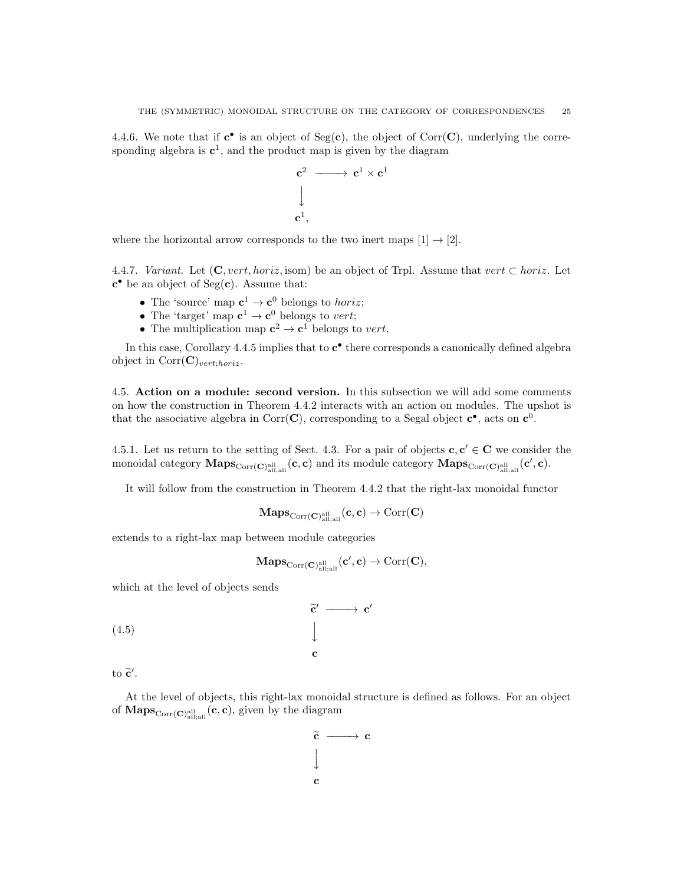4.4.6. We note that if  $c^{\bullet}$  is an object of Seg(c), the object of Corr(C), underlying the corresponding algebra is  $c^1$ , and the product map is given by the diagram

$$
\begin{array}{ccc}\n\mathbf{c}^2 & \longrightarrow & \mathbf{c}^1 \times \mathbf{c}^1 \\
\downarrow & & \\
\mathbf{c}^1, & & \n\end{array}
$$

where the horizontal arrow corresponds to the two inert maps  $[1] \rightarrow [2]$ .

4.4.7. Variant. Let  $(C, vert, horiz, isom)$  be an object of Trpl. Assume that vert  $\subset horiz$ . Let c • be an object of Seg(c). Assume that:

- The 'source' map  $\mathbf{c}^1 \to \mathbf{c}^0$  belongs to *horiz*;
- The 'target' map  $c^1 \to c^0$  belongs to vert;
- The multiplication map  $c^2 \to c^1$  belongs to vert.

In this case, Corollary 4.4.5 implies that to  $c^{\bullet}$  there corresponds a canonically defined algebra object in  $Corr(\mathbf{C})_{vert;horiz}$ .

4.5. Action on a module: second version. In this subsection we will add some comments on how the construction in Theorem 4.4.2 interacts with an action on modules. The upshot is that the associative algebra in Corr(C), corresponding to a Segal object  $c^{\bullet}$ , acts on  $c^{0}$ .

4.5.1. Let us return to the setting of Sect. 4.3. For a pair of objects  $c, c' \in C$  we consider the monoidal category  $\mathbf{Maps}_{\mathrm{Corr}(\mathbf{C})_{\mathrm{all};\mathrm{all}}}(\mathbf{c}, \mathbf{c})$  and its module category  $\mathbf{Maps}_{\mathrm{Corr}(\mathbf{C})_{\mathrm{all};\mathrm{all}}}(\mathbf{c}', \mathbf{c})$ .

It will follow from the construction in Theorem 4.4.2 that the right-lax monoidal functor

$$
\mathbf{Maps}_{\mathrm{Corr}(\mathbf{C})_{\mathrm{all};\mathrm{all}}^{all}}(c,c)\rightarrow \mathrm{Corr}(\mathbf{C})
$$

extends to a right-lax map between module categories

$$
\mathbf{Maps}_{\mathrm{Corr}(\mathbf{C})^{\mathrm{all}}_{\mathrm{all;all}}}(\mathbf{c}', \mathbf{c}) \to \mathrm{Corr}(\mathbf{C}),
$$

which at the level of objects sends

(4.5)  $\widetilde{\textbf{c}}' \longrightarrow \textbf{c}'$  $\downarrow$ c

to  $\tilde{\mathbf{c}}'$ .

At the level of objects, this right-lax monoidal structure is defined as follows. For an object of  $\mathbf{Maps}_{\mathrm{Corr}(\mathbf{C})_{\text{all;all}}^{\text{all}}}(\mathbf{c}, \mathbf{c})$ , given by the diagram

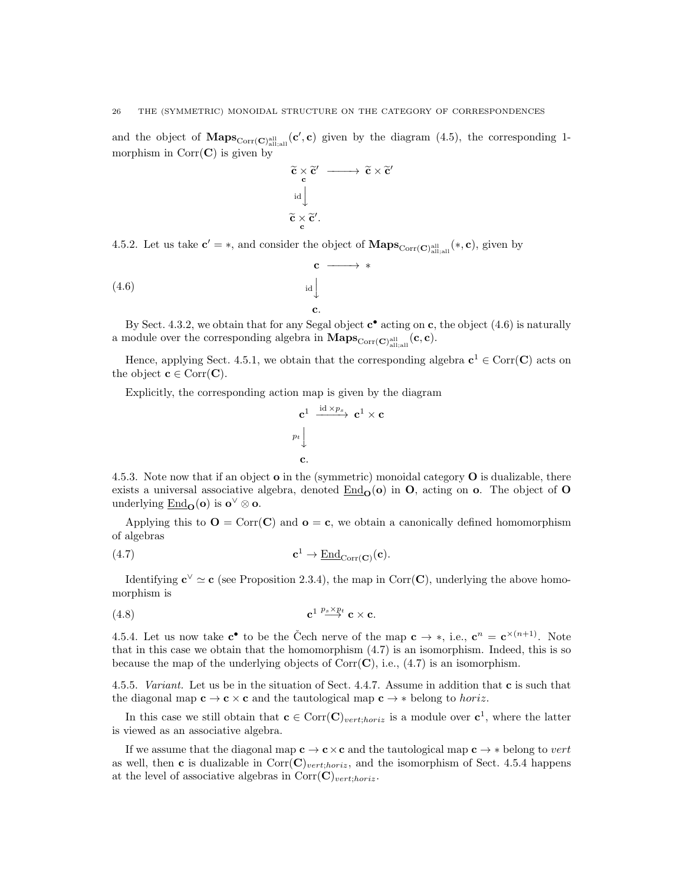and the object of  $\mathbf{Maps}_{\mathrm{Corr}(\mathbf{C})_{\text{all,all}}}(\mathbf{c}', \mathbf{c})$  given by the diagram (4.5), the corresponding 1morphism in  $Corr(C)$  is given by

$$
\begin{array}{l} \widetilde{c}\times \widetilde{c}'\longrightarrow \widetilde{c}\times \widetilde{c}'\\ \phantom{\widetilde{c}}\phantom{\widetilde{c}}\mathrm{id}\Big\downarrow\\ \widetilde{c}\times \widetilde{c}'\phantom{\widetilde{c}}. \end{array}
$$

4.5.2. Let us take  $c' = *$ , and consider the object of  $\mathbf{Maps}_{Corr(\mathbf{C})_{all;all}^{all}}(*, c)$ , given by

$$
\begin{array}{ccc}\n\text{c} & \longrightarrow & * \\
\downarrow & & \downarrow \\
\downarrow & & & \downarrow \\
\text{c.} & & & \n\end{array}
$$

By Sect. 4.3.2, we obtain that for any Segal object  $\mathbf{c}^{\bullet}$  acting on  $\mathbf{c}$ , the object (4.6) is naturally a module over the corresponding algebra in  $\mathbf{Maps}_{\mathrm{Corr}(\mathbf{C})_{\text{all};\text{all}}^{\text{all}}}(\mathbf{c},\mathbf{c}).$ 

Hence, applying Sect. 4.5.1, we obtain that the corresponding algebra  $c^1 \in \text{Corr}(\mathbf{C})$  acts on the object  $\mathbf{c} \in \text{Corr}(\mathbf{C})$ .

Explicitly, the corresponding action map is given by the diagram

$$
\begin{array}{ccc}\n\mathbf{c}^1 & \xrightarrow{\mathrm{id} \times p_s} & \mathbf{c}^1 \times \mathbf{c} \\
p_t & & \\
& \downarrow & \\
\mathbf{c}.\n\end{array}
$$

4.5.3. Note now that if an object  $\mathbf{o}$  in the (symmetric) monoidal category  $\mathbf{O}$  is dualizable, there exists a universal associative algebra, denoted  $\text{End}_{\Omega}(\mathbf{o})$  in **O**, acting on **o**. The object of **O** underlying  $\underline{\mathrm{End}}_{\mathbf{O}}(\mathbf{o})$  is  $\mathbf{o}^{\vee} \otimes \mathbf{o}$ .

Applying this to  $O = \text{Corr}(C)$  and  $o = c$ , we obtain a canonically defined homomorphism of algebras

(4.7) 
$$
\mathbf{c}^1 \to \underline{\text{End}}_{\text{Corr}(\mathbf{C})}(\mathbf{c}).
$$

Identifying  $c^{\vee} \simeq c$  (see Proposition 2.3.4), the map in Corr(C), underlying the above homomorphism is

$$
\mathbf{c}^{1} \stackrel{p_s \times p_t}{\longrightarrow} \mathbf{c} \times \mathbf{c}.
$$

4.5.4. Let us now take  $\mathbf{c}^{\bullet}$  to be the Čech nerve of the map  $\mathbf{c} \to *$ , i.e.,  $\mathbf{c}^n = \mathbf{c}^{\times (n+1)}$ . Note that in this case we obtain that the homomorphism (4.7) is an isomorphism. Indeed, this is so because the map of the underlying objects of  $Corr(\mathbf{C})$ , i.e., (4.7) is an isomorphism.

4.5.5. Variant. Let us be in the situation of Sect. 4.4.7. Assume in addition that c is such that the diagonal map  $c \to c \times c$  and the tautological map  $c \to *$  belong to *horiz*.

In this case we still obtain that  $\mathbf{c} \in \text{Corr}(\mathbf{C})_{vert;horiz}$  is a module over  $\mathbf{c}^1$ , where the latter is viewed as an associative algebra.

If we assume that the diagonal map  $c \to c \times c$  and the tautological map  $c \to *$  belong to vert as well, then c is dualizable in  $Corr(\mathbf{C})_{vert,horiz}$ , and the isomorphism of Sect. 4.5.4 happens at the level of associative algebras in Corr $(C)_{vert;horiz}$ .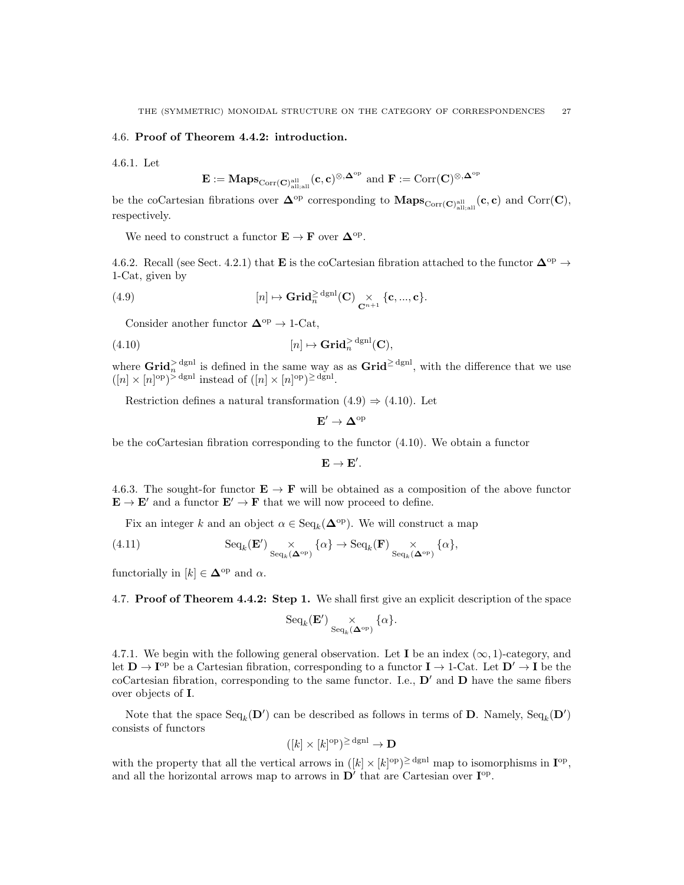#### 4.6. Proof of Theorem 4.4.2: introduction.

4.6.1. Let

$$
\mathbf{E}:=\mathbf{Maps}_{\mathrm{Corr}(\mathbf{C})^{\mathrm{all}}_{\mathrm{all};\mathrm{all}}}(\mathbf{c},\mathbf{c})^{\otimes,\mathbf{\Delta}^{\mathrm{op}}}\text{ and }\mathbf{F}:=\mathrm{Corr}(\mathbf{C})^{\otimes,\mathbf{\Delta}^{\mathrm{op}}}
$$

be the coCartesian fibrations over  $\mathbf{\Delta}^{\mathrm{op}}$  corresponding to  $\mathbf{Maps}_{\mathrm{Corr}(\mathbf{C})_{\text{all;all}}}(\mathbf{c}, \mathbf{c})$  and  $\mathrm{Corr}(\mathbf{C}),$ respectively.

We need to construct a functor  $\mathbf{E} \to \mathbf{F}$  over  $\mathbf{\Delta}^{\text{op}}$ .

4.6.2. Recall (see Sect. 4.2.1) that **E** is the coCartesian fibration attached to the functor  $\Delta^{op} \rightarrow$ 1-Cat, given by

(4.9) 
$$
[n] \mapsto \mathbf{Grid}_n^{\geq \text{dgml}}(\mathbf{C}) \underset{\mathbf{C}^{n+1}}{\times} \{\mathbf{c},...,\mathbf{c}\}.
$$

Consider another functor  $\mathbf{\Delta}^{\mathrm{op}}\to \text{1-Cat},$ 

(4.10) 
$$
[n] \mapsto \mathbf{Grid}_{n}^{> \mathrm{dgnl}}(\mathbf{C}),
$$

where  $\operatorname{Grid}_n^{\ge \operatorname{dgnl}}$  is defined in the same way as as  $\operatorname{Grid}^{\ge \operatorname{dgnl}}$ , with the difference that we use  $([n] \times [n]^{op})^{\geq \text{dgnl}}$  instead of  $([n] \times [n]^{op})^{\geq \text{dgnl}}$ .

Restriction defines a natural transformation  $(4.9) \Rightarrow (4.10)$ . Let

$$
\mathbf{E}' \to \Delta^{\mathrm{op}}
$$

be the coCartesian fibration corresponding to the functor (4.10). We obtain a functor

$$
\mathbf{E}\rightarrow\mathbf{E}^{\prime}.
$$

4.6.3. The sought-for functor  $\mathbf{E} \to \mathbf{F}$  will be obtained as a composition of the above functor  $\mathbf{E} \to \mathbf{E}'$  and a functor  $\mathbf{E}' \to \mathbf{F}$  that we will now proceed to define.

Fix an integer k and an object  $\alpha \in \text{Seq}_k(\mathbf{\Delta}^{\text{op}})$ . We will construct a map

(4.11) 
$$
\mathrm{Seq}_k(\mathbf{E}') \underset{\mathrm{Seq}_k(\mathbf{\Delta}^{\mathrm{op}})}{\times} \{\alpha\} \to \mathrm{Seq}_k(\mathbf{F}) \underset{\mathrm{Seq}_k(\mathbf{\Delta}^{\mathrm{op}})}{\times} \{\alpha\},
$$

functorially in  $[k] \in \mathbf{\Delta}^{\text{op}}$  and  $\alpha$ .

4.7. Proof of Theorem 4.4.2: Step 1. We shall first give an explicit description of the space

$$
{\rm Seq}_k(\mathbf{E}') \underset{{\rm Seq}_k(\mathbf{\Delta}^{\rm op})}{\times} \{\alpha\}.
$$

4.7.1. We begin with the following general observation. Let **I** be an index  $(\infty, 1)$ -category, and let  $D \to I^{\text{op}}$  be a Cartesian fibration, corresponding to a functor  $I \to 1$ -Cat. Let  $D' \to I$  be the coCartesian fibration, corresponding to the same functor. I.e.,  $\mathbf{D}'$  and  $\mathbf{D}$  have the same fibers over objects of I.

Note that the space  $\text{Seq}_k(\mathbf{D}')$  can be described as follows in terms of **D**. Namely,  $\text{Seq}_k(\mathbf{D}')$ consists of functors

$$
([k] \times [k]^{\text{op}})^{\ge \text{dgnl}} \to \mathbf{D}
$$

with the property that all the vertical arrows in  $(|k| \times |k|^{op})^{\geq \text{dgnl}}$  map to isomorphisms in  $\mathbf{I}^{op}$ , and all the horizontal arrows map to arrows in  $D'$  that are Cartesian over  $I^{op}$ .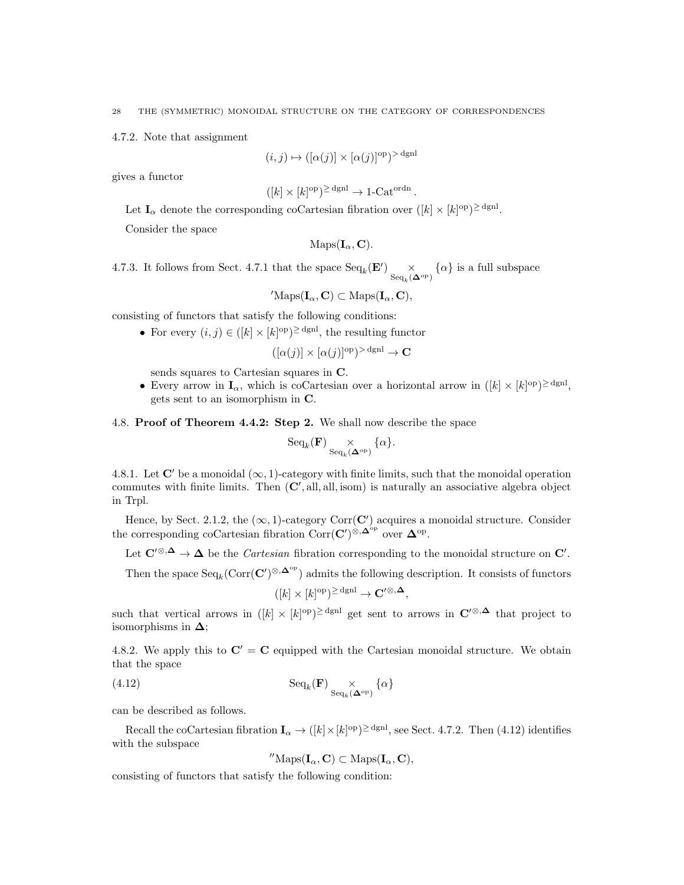4.7.2. Note that assignment

$$
(i,j) \mapsto ([\alpha(j)] \times [\alpha(j)]^{\text{op}})^{> \text{dgnl}}
$$

gives a functor

$$
([k] \times [k]^{\text{op}})^{\geq \text{dgnl}} \to 1\text{-Cat}^{\text{ordn}}.
$$

Let  $I_{\alpha}$  denote the corresponding coCartesian fibration over  $([k] \times [k]^{\text{op}})^{\geq \text{dgnl}}$ .

Consider the space

$$
\mathrm{Maps}(\mathbf{I}_{\alpha}, \mathbf{C}).
$$

4.7.3. It follows from Sect. 4.7.1 that the space  $\text{Seq}_k(\mathbf{E}')$   $\underset{\sim}{\times}$  $\operatorname{Seq}_k(\mathbf{\Delta}^{\operatorname{op}\nolimits})$  $\{\alpha\}$  is a full subspace

 $'\text{Maps}(\mathbf{I}_{\alpha}, \mathbf{C}) \subset \text{Maps}(\mathbf{I}_{\alpha}, \mathbf{C}),$ 

consisting of functors that satisfy the following conditions:

• For every  $(i, j) \in (k] \times (k)$ <sup>op</sup>)<sup> $\ge$  dgn<sup>1</sup>, the resulting functor</sup>

 $([\alpha(j)] \times [\alpha(j)]^{\text{op}})^{>}$ <sup>dgnl</sup>  $\rightarrow \mathbf{C}$ 

sends squares to Cartesian squares in C.

• Every arrow in  $I_{\alpha}$ , which is coCartesian over a horizontal arrow in  $([k] \times [k]^{\text{op}})^{\geq \text{dgl}}$ , gets sent to an isomorphism in C.

# 4.8. Proof of Theorem 4.4.2: Step 2. We shall now describe the space

$$
\mathrm{Seq}_k(\mathbf{F}) \underset{\mathrm{Seq}_k(\mathbf{\Delta}^{\mathrm{op}})}{\times} \{\alpha\}.
$$

4.8.1. Let C' be a monoidal  $(\infty, 1)$ -category with finite limits, such that the monoidal operation commutes with finite limits. Then  $(C',$  all, all, isom) is naturally an associative algebra object in Trpl.

Hence, by Sect. 2.1.2, the  $(\infty, 1)$ -category Corr $(C')$  acquires a monoidal structure. Consider the corresponding coCartesian fibration Corr $(\mathbf{C}')^{\otimes, \mathbf{\Delta}^{\mathrm{op}}}$  over  $\mathbf{\Delta}^{\mathrm{op}}$ .

Let  $\mathbf{C}'^{\otimes,\Delta} \to \Delta$  be the *Cartesian* fibration corresponding to the monoidal structure on  $\mathbf{C}'$ .

Then the space  $\text{Seq}_k(\text{Corr}(\mathbf{C}')^{\otimes,\mathbf{\Delta}^{\text{op}}})$  admits the following description. It consists of functors

$$
([k] \times [k]^{\text{op}})^{\geq \text{dgnl}} \to \mathbf{C}'^{\otimes,\mathbf{\Delta}},
$$

such that vertical arrows in  $([k] \times [k]^{\text{op}})^{\geq \text{dgnl}}$  get sent to arrows in  $\mathbb{C}'^{\otimes,\Delta}$  that project to isomorphisms in  $\Delta$ ;

4.8.2. We apply this to  $\mathbf{C}'=\mathbf{C}$  equipped with the Cartesian monoidal structure. We obtain that the space

(4.12) 
$$
\mathrm{Seq}_k(\mathbf{F}) \underset{\mathrm{Seq}_k(\mathbf{\Delta}^{\mathrm{op}})}{\times} \{\alpha\}
$$

can be described as follows.

Recall the coCartesian fibration  $I_{\alpha} \to ([k] \times [k]^{\text{op}})^{\geq \text{dgnl}}$ , see Sect. 4.7.2. Then (4.12) identifies with the subspace

$$
^{\prime\prime}\mathrm{Maps}(\mathbf{I}_\alpha,\mathbf{C})\subset\mathrm{Maps}(\mathbf{I}_\alpha,\mathbf{C}),
$$

consisting of functors that satisfy the following condition: